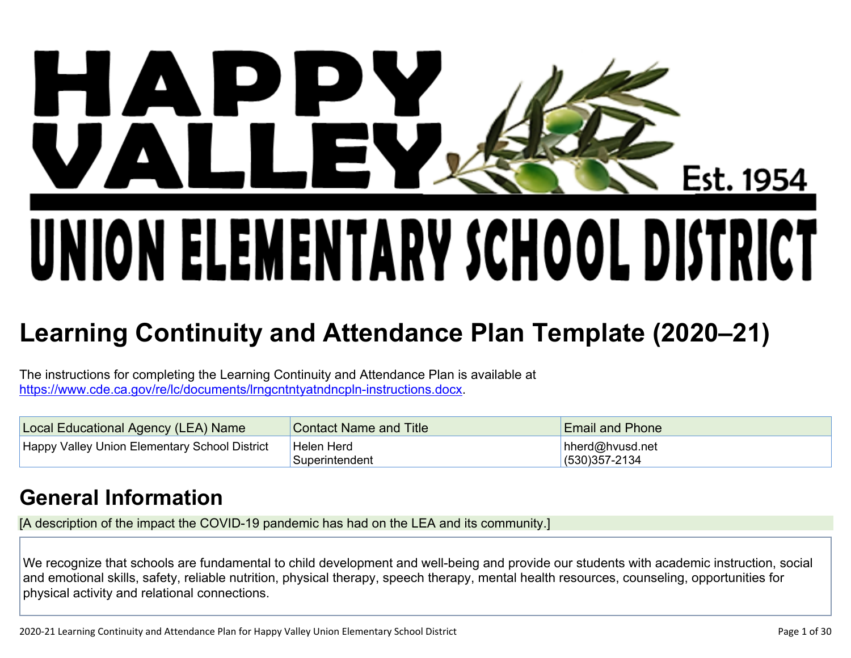# $\mathbf{D}$  ( H A Est. 1954 UNION ELEMENTARY SCHOOL DISTRICT

## **Learning Continuity and Attendance Plan Template (2020–21)**

The instructions for completing the Learning Continuity and Attendance Plan is available at https://www.cde.ca.gov/re/lc/documents/lrngcntntyatndncpln-instructions.docx.

| Local Educational Agency (LEA) Name           | <b>Contact Name and Title</b> | <b>Email and Phone</b>               |
|-----------------------------------------------|-------------------------------|--------------------------------------|
| Happy Valley Union Elementary School District | Helen Herd<br>Superintendent  | hherd@hvusd.net<br>$(530)357 - 2134$ |

## **General Information**

[A description of the impact the COVID-19 pandemic has had on the LEA and its community.]

We recognize that schools are fundamental to child development and well-being and provide our students with academic instruction, social and emotional skills, safety, reliable nutrition, physical therapy, speech therapy, mental health resources, counseling, opportunities for physical activity and relational connections.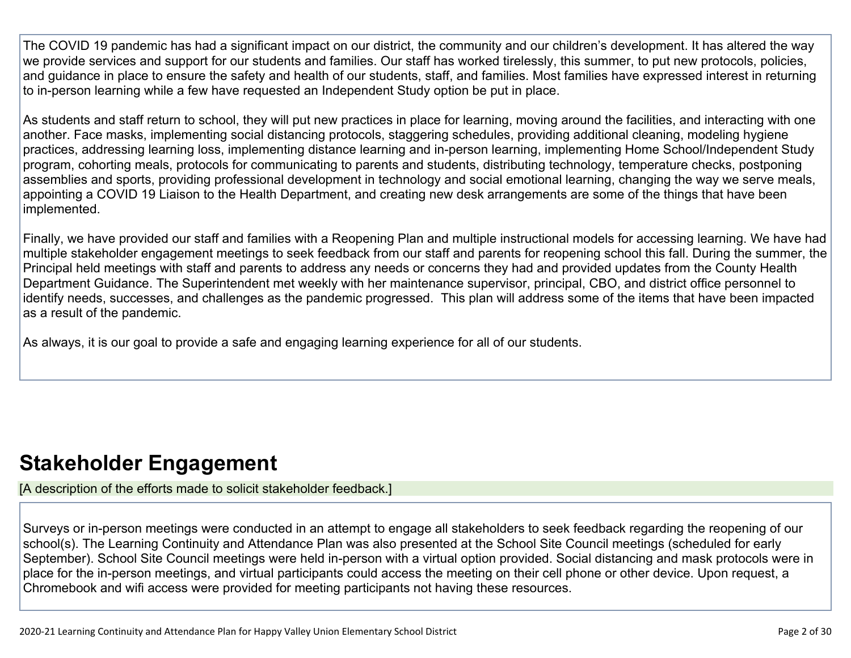The COVID 19 pandemic has had a significant impact on our district, the community and our children's development. It has altered the way we provide services and support for our students and families. Our staff has worked tirelessly, this summer, to put new protocols, policies, and guidance in place to ensure the safety and health of our students, staff, and families. Most families have expressed interest in returning to in-person learning while a few have requested an Independent Study option be put in place.

As students and staff return to school, they will put new practices in place for learning, moving around the facilities, and interacting with one another. Face masks, implementing social distancing protocols, staggering schedules, providing additional cleaning, modeling hygiene practices, addressing learning loss, implementing distance learning and in-person learning, implementing Home School/Independent Study program, cohorting meals, protocols for communicating to parents and students, distributing technology, temperature checks, postponing assemblies and sports, providing professional development in technology and social emotional learning, changing the way we serve meals, appointing a COVID 19 Liaison to the Health Department, and creating new desk arrangements are some of the things that have been implemented.

Finally, we have provided our staff and families with a Reopening Plan and multiple instructional models for accessing learning. We have had multiple stakeholder engagement meetings to seek feedback from our staff and parents for reopening school this fall. During the summer, the Principal held meetings with staff and parents to address any needs or concerns they had and provided updates from the County Health Department Guidance. The Superintendent met weekly with her maintenance supervisor, principal, CBO, and district office personnel to identify needs, successes, and challenges as the pandemic progressed. This plan will address some of the items that have been impacted as a result of the pandemic.

As always, it is our goal to provide a safe and engaging learning experience for all of our students.

## **Stakeholder Engagement**

[A description of the efforts made to solicit stakeholder feedback.]

Surveys or in-person meetings were conducted in an attempt to engage all stakeholders to seek feedback regarding the reopening of our school(s). The Learning Continuity and Attendance Plan was also presented at the School Site Council meetings (scheduled for early September). School Site Council meetings were held in-person with a virtual option provided. Social distancing and mask protocols were in place for the in-person meetings, and virtual participants could access the meeting on their cell phone or other device. Upon request, a Chromebook and wifi access were provided for meeting participants not having these resources.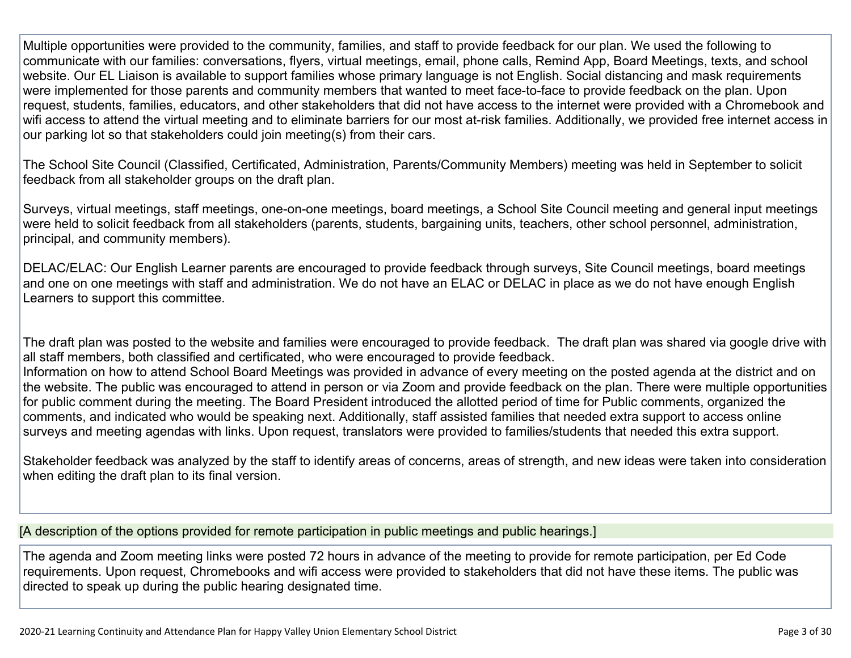Multiple opportunities were provided to the community, families, and staff to provide feedback for our plan. We used the following to communicate with our families: conversations, flyers, virtual meetings, email, phone calls, Remind App, Board Meetings, texts, and school website. Our EL Liaison is available to support families whose primary language is not English. Social distancing and mask requirements were implemented for those parents and community members that wanted to meet face-to-face to provide feedback on the plan. Upon request, students, families, educators, and other stakeholders that did not have access to the internet were provided with a Chromebook and wifi access to attend the virtual meeting and to eliminate barriers for our most at-risk families. Additionally, we provided free internet access in our parking lot so that stakeholders could join meeting(s) from their cars.

The School Site Council (Classified, Certificated, Administration, Parents/Community Members) meeting was held in September to solicit feedback from all stakeholder groups on the draft plan.

Surveys, virtual meetings, staff meetings, one-on-one meetings, board meetings, a School Site Council meeting and general input meetings were held to solicit feedback from all stakeholders (parents, students, bargaining units, teachers, other school personnel, administration, principal, and community members).

DELAC/ELAC: Our English Learner parents are encouraged to provide feedback through surveys, Site Council meetings, board meetings and one on one meetings with staff and administration. We do not have an ELAC or DELAC in place as we do not have enough English Learners to support this committee.

The draft plan was posted to the website and families were encouraged to provide feedback. The draft plan was shared via google drive with all staff members, both classified and certificated, who were encouraged to provide feedback. Information on how to attend School Board Meetings was provided in advance of every meeting on the posted agenda at the district and on the website. The public was encouraged to attend in person or via Zoom and provide feedback on the plan. There were multiple opportunities for public comment during the meeting. The Board President introduced the allotted period of time for Public comments, organized the comments, and indicated who would be speaking next. Additionally, staff assisted families that needed extra support to access online surveys and meeting agendas with links. Upon request, translators were provided to families/students that needed this extra support.

Stakeholder feedback was analyzed by the staff to identify areas of concerns, areas of strength, and new ideas were taken into consideration when editing the draft plan to its final version.

[A description of the options provided for remote participation in public meetings and public hearings.]

The agenda and Zoom meeting links were posted 72 hours in advance of the meeting to provide for remote participation, per Ed Code requirements. Upon request, Chromebooks and wifi access were provided to stakeholders that did not have these items. The public was directed to speak up during the public hearing designated time.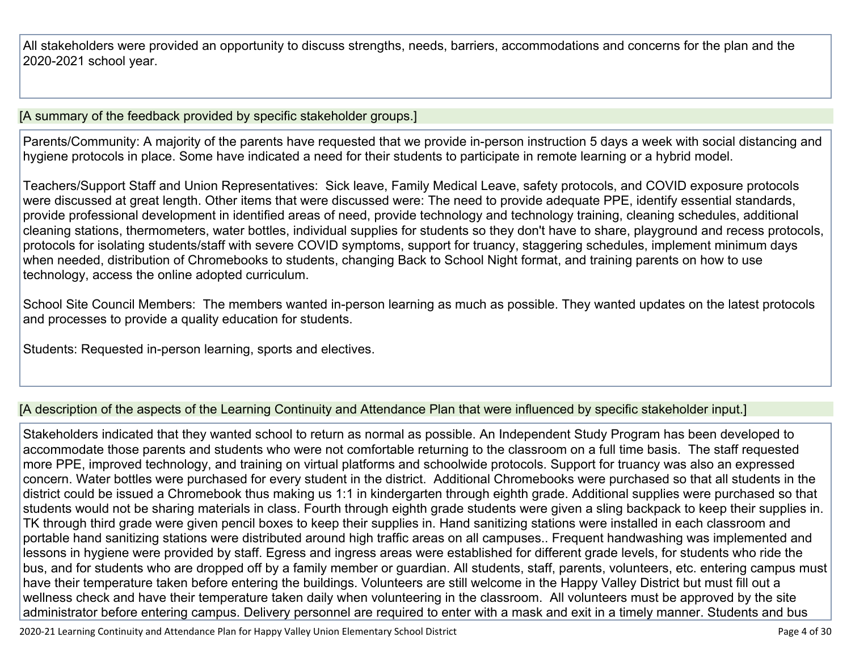All stakeholders were provided an opportunity to discuss strengths, needs, barriers, accommodations and concerns for the plan and the 2020-2021 school year.

#### [A summary of the feedback provided by specific stakeholder groups.]

Parents/Community: A majority of the parents have requested that we provide in-person instruction 5 days a week with social distancing and hygiene protocols in place. Some have indicated a need for their students to participate in remote learning or a hybrid model.

Teachers/Support Staff and Union Representatives: Sick leave, Family Medical Leave, safety protocols, and COVID exposure protocols were discussed at great length. Other items that were discussed were: The need to provide adequate PPE, identify essential standards, provide professional development in identified areas of need, provide technology and technology training, cleaning schedules, additional cleaning stations, thermometers, water bottles, individual supplies for students so they don't have to share, playground and recess protocols, protocols for isolating students/staff with severe COVID symptoms, support for truancy, staggering schedules, implement minimum days when needed, distribution of Chromebooks to students, changing Back to School Night format, and training parents on how to use technology, access the online adopted curriculum.

School Site Council Members: The members wanted in-person learning as much as possible. They wanted updates on the latest protocols and processes to provide a quality education for students.

Students: Requested in-person learning, sports and electives.

#### [A description of the aspects of the Learning Continuity and Attendance Plan that were influenced by specific stakeholder input.]

Stakeholders indicated that they wanted school to return as normal as possible. An Independent Study Program has been developed to accommodate those parents and students who were not comfortable returning to the classroom on a full time basis. The staff requested more PPE, improved technology, and training on virtual platforms and schoolwide protocols. Support for truancy was also an expressed concern. Water bottles were purchased for every student in the district. Additional Chromebooks were purchased so that all students in the district could be issued a Chromebook thus making us 1:1 in kindergarten through eighth grade. Additional supplies were purchased so that students would not be sharing materials in class. Fourth through eighth grade students were given a sling backpack to keep their supplies in. TK through third grade were given pencil boxes to keep their supplies in. Hand sanitizing stations were installed in each classroom and portable hand sanitizing stations were distributed around high traffic areas on all campuses.. Frequent handwashing was implemented and lessons in hygiene were provided by staff. Egress and ingress areas were established for different grade levels, for students who ride the bus, and for students who are dropped off by a family member or guardian. All students, staff, parents, volunteers, etc. entering campus must have their temperature taken before entering the buildings. Volunteers are still welcome in the Happy Valley District but must fill out a wellness check and have their temperature taken daily when volunteering in the classroom. All volunteers must be approved by the site administrator before entering campus. Delivery personnel are required to enter with a mask and exit in a timely manner. Students and bus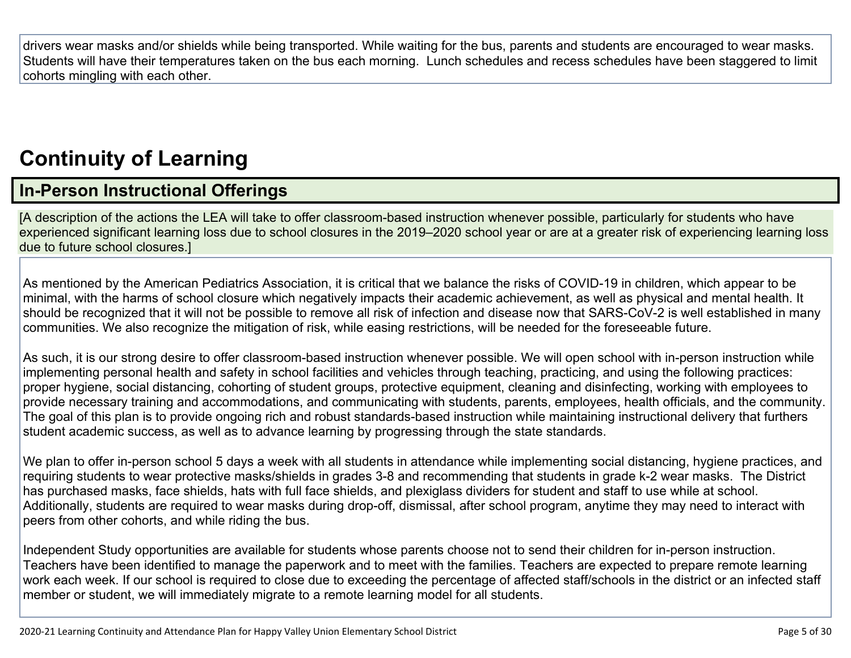drivers wear masks and/or shields while being transported. While waiting for the bus, parents and students are encouraged to wear masks. Students will have their temperatures taken on the bus each morning. Lunch schedules and recess schedules have been staggered to limit cohorts mingling with each other.

## **Continuity of Learning**

### **In-Person Instructional Offerings**

[A description of the actions the LEA will take to offer classroom-based instruction whenever possible, particularly for students who have experienced significant learning loss due to school closures in the 2019–2020 school year or are at a greater risk of experiencing learning loss due to future school closures.]

As mentioned by the American Pediatrics Association, it is critical that we balance the risks of COVID-19 in children, which appear to be minimal, with the harms of school closure which negatively impacts their academic achievement, as well as physical and mental health. It should be recognized that it will not be possible to remove all risk of infection and disease now that SARS-CoV-2 is well established in many communities. We also recognize the mitigation of risk, while easing restrictions, will be needed for the foreseeable future.

As such, it is our strong desire to offer classroom-based instruction whenever possible. We will open school with in-person instruction while implementing personal health and safety in school facilities and vehicles through teaching, practicing, and using the following practices: proper hygiene, social distancing, cohorting of student groups, protective equipment, cleaning and disinfecting, working with employees to provide necessary training and accommodations, and communicating with students, parents, employees, health officials, and the community. The goal of this plan is to provide ongoing rich and robust standards-based instruction while maintaining instructional delivery that furthers student academic success, as well as to advance learning by progressing through the state standards.

We plan to offer in-person school 5 days a week with all students in attendance while implementing social distancing, hygiene practices, and requiring students to wear protective masks/shields in grades 3-8 and recommending that students in grade k-2 wear masks. The District has purchased masks, face shields, hats with full face shields, and plexiglass dividers for student and staff to use while at school. Additionally, students are required to wear masks during drop-off, dismissal, after school program, anytime they may need to interact with peers from other cohorts, and while riding the bus.

Independent Study opportunities are available for students whose parents choose not to send their children for in-person instruction. Teachers have been identified to manage the paperwork and to meet with the families. Teachers are expected to prepare remote learning work each week. If our school is required to close due to exceeding the percentage of affected staff/schools in the district or an infected staff member or student, we will immediately migrate to a remote learning model for all students.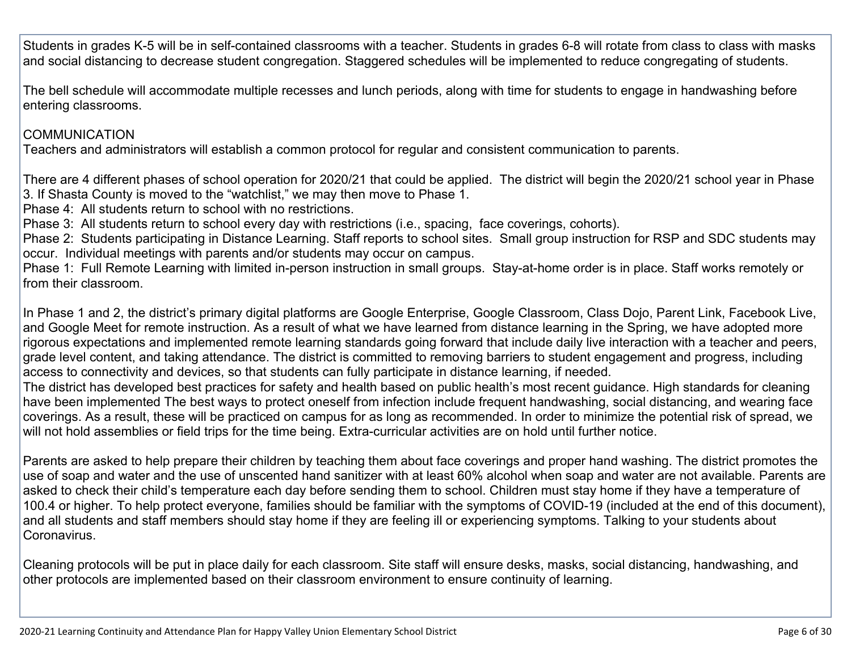Students in grades K-5 will be in self-contained classrooms with a teacher. Students in grades 6-8 will rotate from class to class with masks and social distancing to decrease student congregation. Staggered schedules will be implemented to reduce congregating of students.

The bell schedule will accommodate multiple recesses and lunch periods, along with time for students to engage in handwashing before entering classrooms.

#### COMMUNICATION

Teachers and administrators will establish a common protocol for regular and consistent communication to parents.

There are 4 different phases of school operation for 2020/21 that could be applied. The district will begin the 2020/21 school year in Phase 3. If Shasta County is moved to the "watchlist," we may then move to Phase 1.

Phase 4: All students return to school with no restrictions.

Phase 3: All students return to school every day with restrictions (i.e., spacing, face coverings, cohorts).

Phase 2: Students participating in Distance Learning. Staff reports to school sites. Small group instruction for RSP and SDC students may occur. Individual meetings with parents and/or students may occur on campus.

Phase 1: Full Remote Learning with limited in-person instruction in small groups. Stay-at-home order is in place. Staff works remotely or from their classroom.

In Phase 1 and 2, the district's primary digital platforms are Google Enterprise, Google Classroom, Class Dojo, Parent Link, Facebook Live, and Google Meet for remote instruction. As a result of what we have learned from distance learning in the Spring, we have adopted more rigorous expectations and implemented remote learning standards going forward that include daily live interaction with a teacher and peers, grade level content, and taking attendance. The district is committed to removing barriers to student engagement and progress, including access to connectivity and devices, so that students can fully participate in distance learning, if needed.

The district has developed best practices for safety and health based on public health's most recent guidance. High standards for cleaning have been implemented The best ways to protect oneself from infection include frequent handwashing, social distancing, and wearing face coverings. As a result, these will be practiced on campus for as long as recommended. In order to minimize the potential risk of spread, we will not hold assemblies or field trips for the time being. Extra-curricular activities are on hold until further notice.

Parents are asked to help prepare their children by teaching them about face coverings and proper hand washing. The district promotes the use of soap and water and the use of unscented hand sanitizer with at least 60% alcohol when soap and water are not available. Parents are asked to check their child's temperature each day before sending them to school. Children must stay home if they have a temperature of 100.4 or higher. To help protect everyone, families should be familiar with the symptoms of COVID-19 (included at the end of this document), and all students and staff members should stay home if they are feeling ill or experiencing symptoms. Talking to your students about Coronavirus.

Cleaning protocols will be put in place daily for each classroom. Site staff will ensure desks, masks, social distancing, handwashing, and other protocols are implemented based on their classroom environment to ensure continuity of learning.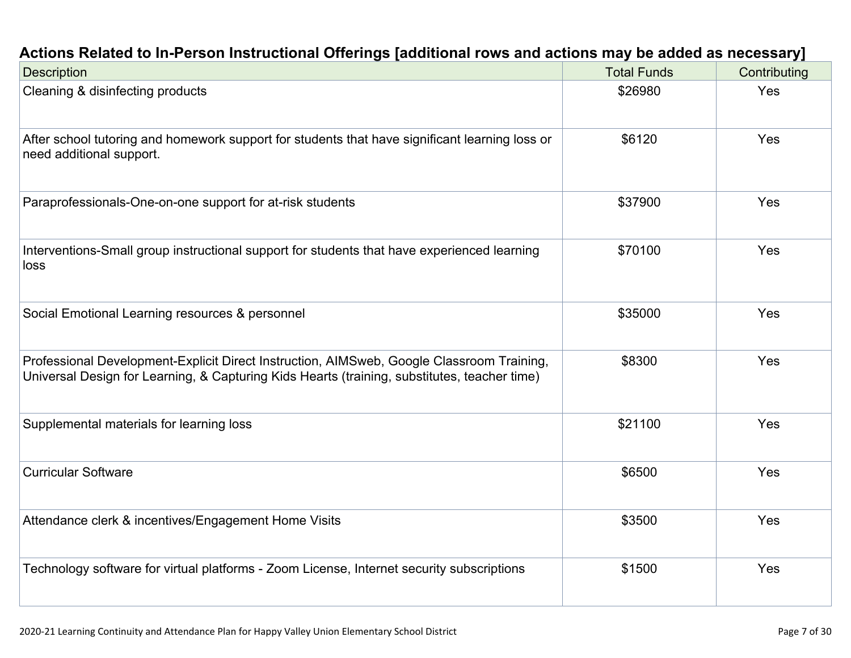| Actions Related to In-Person Instructional Offerings [additional rows and actions may be added as necessary] |  |  |
|--------------------------------------------------------------------------------------------------------------|--|--|
|                                                                                                              |  |  |

| <b>Description</b>                                                                                                                                                                        | <b>Total Funds</b> | Contributing |
|-------------------------------------------------------------------------------------------------------------------------------------------------------------------------------------------|--------------------|--------------|
| Cleaning & disinfecting products                                                                                                                                                          | \$26980            | Yes          |
| After school tutoring and homework support for students that have significant learning loss or<br>need additional support.                                                                | \$6120             | Yes          |
| Paraprofessionals-One-on-one support for at-risk students                                                                                                                                 | \$37900            | Yes          |
| Interventions-Small group instructional support for students that have experienced learning<br>loss                                                                                       | \$70100            | Yes          |
| Social Emotional Learning resources & personnel                                                                                                                                           | \$35000            | Yes          |
| Professional Development-Explicit Direct Instruction, AIMSweb, Google Classroom Training,<br>Universal Design for Learning, & Capturing Kids Hearts (training, substitutes, teacher time) | \$8300             | Yes          |
| Supplemental materials for learning loss                                                                                                                                                  | \$21100            | Yes          |
| <b>Curricular Software</b>                                                                                                                                                                | \$6500             | Yes          |
| Attendance clerk & incentives/Engagement Home Visits                                                                                                                                      | \$3500             | <b>Yes</b>   |
| Technology software for virtual platforms - Zoom License, Internet security subscriptions                                                                                                 | \$1500             | Yes          |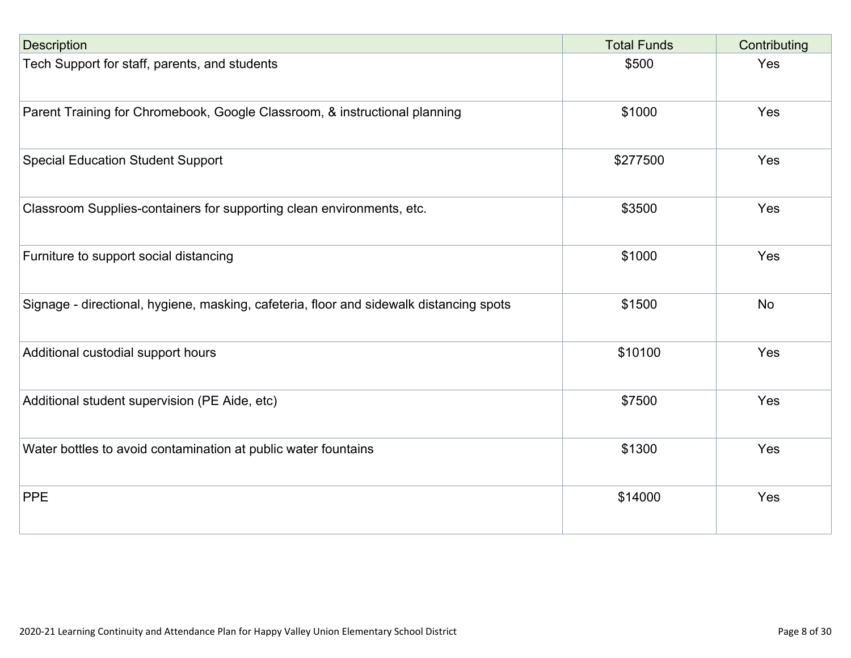| <b>Description</b>                                                                      | <b>Total Funds</b> | Contributing |
|-----------------------------------------------------------------------------------------|--------------------|--------------|
| Tech Support for staff, parents, and students                                           | \$500              | Yes          |
| Parent Training for Chromebook, Google Classroom, & instructional planning              | \$1000             | Yes          |
| <b>Special Education Student Support</b>                                                | \$277500           | Yes          |
| Classroom Supplies-containers for supporting clean environments, etc.                   | \$3500             | Yes          |
| Furniture to support social distancing                                                  | \$1000             | Yes          |
| Signage - directional, hygiene, masking, cafeteria, floor and sidewalk distancing spots | \$1500             | <b>No</b>    |
| Additional custodial support hours                                                      | \$10100            | Yes          |
| Additional student supervision (PE Aide, etc)                                           | \$7500             | Yes          |
| Water bottles to avoid contamination at public water fountains                          | \$1300             | Yes          |
| <b>PPE</b>                                                                              | \$14000            | Yes          |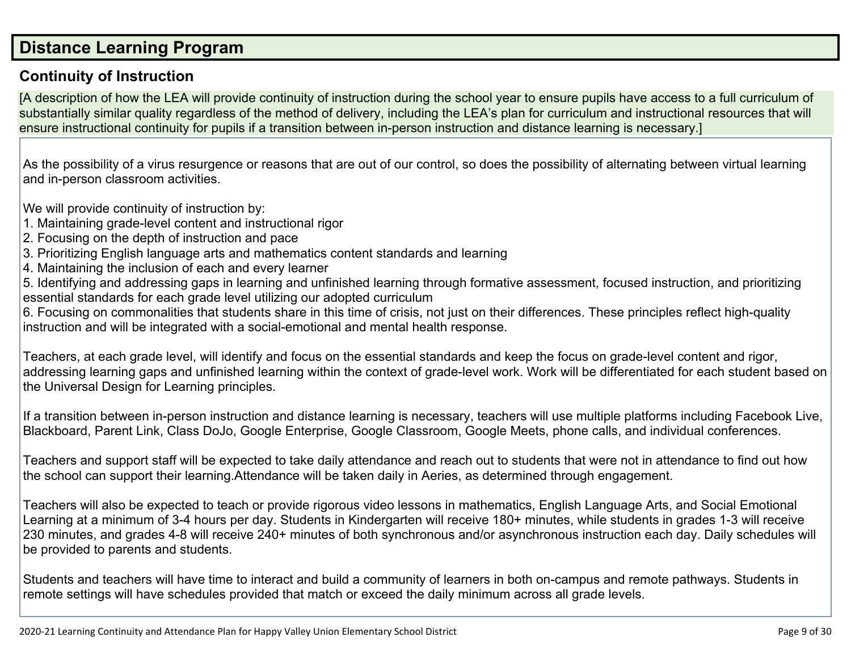#### **Distance Learning Program**

#### **Continuity of Instruction**

[A description of how the LEA will provide continuity of instruction during the school year to ensure pupils have access to a full curriculum of substantially similar quality regardless of the method of delivery, including the LEA's plan for curriculum and instructional resources that will ensure instructional continuity for pupils if a transition between in-person instruction and distance learning is necessary.]

As the possibility of a virus resurgence or reasons that are out of our control, so does the possibility of alternating between virtual learning and in-person classroom activities.

We will provide continuity of instruction by:

- 1. Maintaining grade-level content and instructional rigor
- 2. Focusing on the depth of instruction and pace
- 3. Prioritizing English language arts and mathematics content standards and learning
- 4. Maintaining the inclusion of each and every learner

5. Identifying and addressing gaps in learning and unfinished learning through formative assessment, focused instruction, and prioritizing essential standards for each grade level utilizing our adopted curriculum

6. Focusing on commonalities that students share in this time of crisis, not just on their differences. These principles reflect high-quality instruction and will be integrated with a social-emotional and mental health response.

Teachers, at each grade level, will identify and focus on the essential standards and keep the focus on grade-level content and rigor, addressing learning gaps and unfinished learning within the context of grade-level work. Work will be differentiated for each student based on the Universal Design for Learning principles.

If a transition between in-person instruction and distance learning is necessary, teachers will use multiple platforms including Facebook Live, Blackboard, Parent Link, Class DoJo, Google Enterprise, Google Classroom, Google Meets, phone calls, and individual conferences.

Teachers and support staff will be expected to take daily attendance and reach out to students that were not in attendance to find out how the school can support their learning.Attendance will be taken daily in Aeries, as determined through engagement.

Teachers will also be expected to teach or provide rigorous video lessons in mathematics, English Language Arts, and Social Emotional Learning at a minimum of 3-4 hours per day. Students in Kindergarten will receive 180+ minutes, while students in grades 1-3 will receive 230 minutes, and grades 4-8 will receive 240+ minutes of both synchronous and/or asynchronous instruction each day. Daily schedules will be provided to parents and students.

Students and teachers will have time to interact and build a community of learners in both on-campus and remote pathways. Students in remote settings will have schedules provided that match or exceed the daily minimum across all grade levels.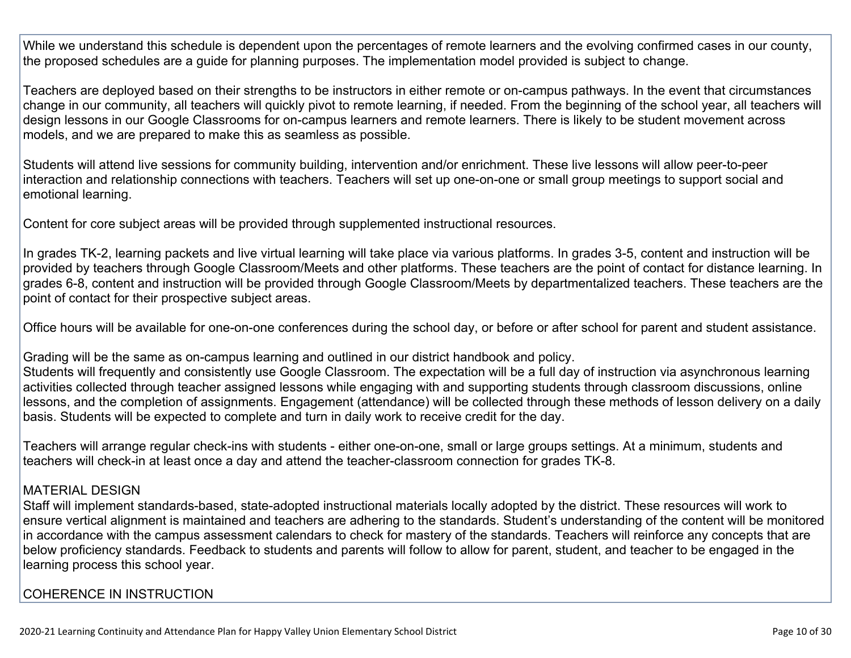While we understand this schedule is dependent upon the percentages of remote learners and the evolving confirmed cases in our county, the proposed schedules are a guide for planning purposes. The implementation model provided is subject to change.

Teachers are deployed based on their strengths to be instructors in either remote or on-campus pathways. In the event that circumstances change in our community, all teachers will quickly pivot to remote learning, if needed. From the beginning of the school year, all teachers will design lessons in our Google Classrooms for on-campus learners and remote learners. There is likely to be student movement across models, and we are prepared to make this as seamless as possible.

Students will attend live sessions for community building, intervention and/or enrichment. These live lessons will allow peer-to-peer interaction and relationship connections with teachers. Teachers will set up one-on-one or small group meetings to support social and emotional learning.

Content for core subject areas will be provided through supplemented instructional resources.

In grades TK-2, learning packets and live virtual learning will take place via various platforms. In grades 3-5, content and instruction will be provided by teachers through Google Classroom/Meets and other platforms. These teachers are the point of contact for distance learning. In grades 6-8, content and instruction will be provided through Google Classroom/Meets by departmentalized teachers. These teachers are the point of contact for their prospective subject areas.

Office hours will be available for one-on-one conferences during the school day, or before or after school for parent and student assistance.

Grading will be the same as on-campus learning and outlined in our district handbook and policy.

Students will frequently and consistently use Google Classroom. The expectation will be a full day of instruction via asynchronous learning activities collected through teacher assigned lessons while engaging with and supporting students through classroom discussions, online lessons, and the completion of assignments. Engagement (attendance) will be collected through these methods of lesson delivery on a daily basis. Students will be expected to complete and turn in daily work to receive credit for the day.

Teachers will arrange regular check-ins with students - either one-on-one, small or large groups settings. At a minimum, students and teachers will check-in at least once a day and attend the teacher-classroom connection for grades TK-8.

#### MATERIAL DESIGN

Staff will implement standards-based, state-adopted instructional materials locally adopted by the district. These resources will work to ensure vertical alignment is maintained and teachers are adhering to the standards. Student's understanding of the content will be monitored in accordance with the campus assessment calendars to check for mastery of the standards. Teachers will reinforce any concepts that are below proficiency standards. Feedback to students and parents will follow to allow for parent, student, and teacher to be engaged in the learning process this school year.

#### COHERENCE IN INSTRUCTION

2020-21 Learning Continuity and Attendance Plan for Happy Valley Union Elementary School District Page 10 of 30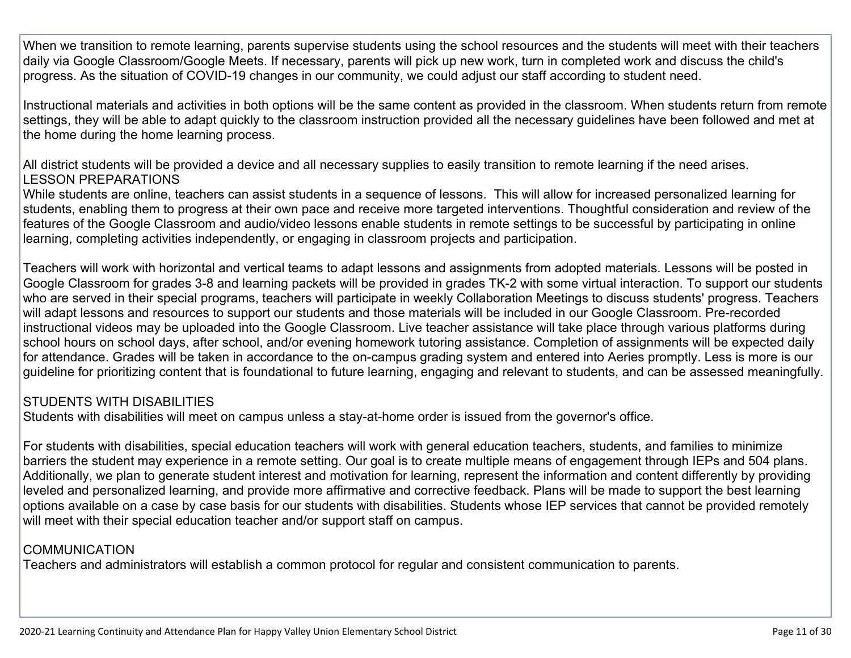When we transition to remote learning, parents supervise students using the school resources and the students will meet with their teachers daily via Google Classroom/Google Meets. If necessary, parents will pick up new work, turn in completed work and discuss the child's progress. As the situation of COVID-19 changes in our community, we could adjust our staff according to student need.

Instructional materials and activities in both options will be the same content as provided in the classroom. When students return from remote settings, they will be able to adapt quickly to the classroom instruction provided all the necessary guidelines have been followed and met at the home during the home learning process.

All district students will be provided a device and all necessary supplies to easily transition to remote learning if the need arises. LESSON PREPARATIONS

While students are online, teachers can assist students in a sequence of lessons. This will allow for increased personalized learning for students, enabling them to progress at their own pace and receive more targeted interventions. Thoughtful consideration and review of the features of the Google Classroom and audio/video lessons enable students in remote settings to be successful by participating in online learning, completing activities independently, or engaging in classroom projects and participation.

Teachers will work with horizontal and vertical teams to adapt lessons and assignments from adopted materials. Lessons will be posted in Google Classroom for grades 3-8 and learning packets will be provided in grades TK-2 with some virtual interaction. To support our students who are served in their special programs, teachers will participate in weekly Collaboration Meetings to discuss students' progress. Teachers will adapt lessons and resources to support our students and those materials will be included in our Google Classroom. Pre-recorded instructional videos may be uploaded into the Google Classroom. Live teacher assistance will take place through various platforms during school hours on school days, after school, and/or evening homework tutoring assistance. Completion of assignments will be expected daily for attendance. Grades will be taken in accordance to the on-campus grading system and entered into Aeries promptly. Less is more is our guideline for prioritizing content that is foundational to future learning, engaging and relevant to students, and can be assessed meaningfully.

#### STUDENTS WITH DISABILITIES

Students with disabilities will meet on campus unless a stay-at-home order is issued from the governor's office.

For students with disabilities, special education teachers will work with general education teachers, students, and families to minimize barriers the student may experience in a remote setting. Our goal is to create multiple means of engagement through IEPs and 504 plans. Additionally, we plan to generate student interest and motivation for learning, represent the information and content differently by providing leveled and personalized learning, and provide more affirmative and corrective feedback. Plans will be made to support the best learning options available on a case by case basis for our students with disabilities. Students whose IEP services that cannot be provided remotely will meet with their special education teacher and/or support staff on campus.

#### COMMUNICATION

Teachers and administrators will establish a common protocol for regular and consistent communication to parents.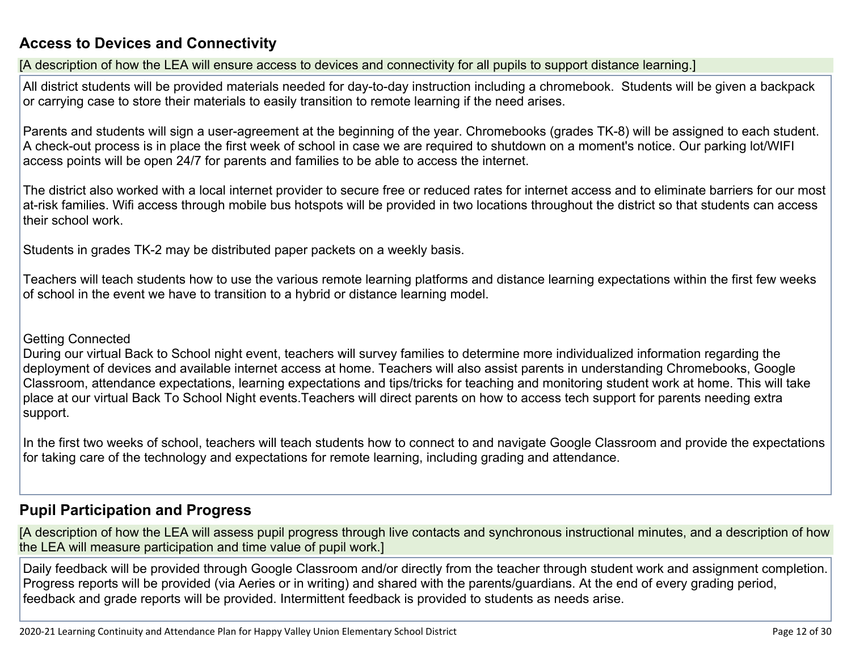#### **Access to Devices and Connectivity**

[A description of how the LEA will ensure access to devices and connectivity for all pupils to support distance learning.]

All district students will be provided materials needed for day-to-day instruction including a chromebook. Students will be given a backpack or carrying case to store their materials to easily transition to remote learning if the need arises.

Parents and students will sign a user-agreement at the beginning of the year. Chromebooks (grades TK-8) will be assigned to each student. A check-out process is in place the first week of school in case we are required to shutdown on a moment's notice. Our parking lot/WIFI access points will be open 24/7 for parents and families to be able to access the internet.

The district also worked with a local internet provider to secure free or reduced rates for internet access and to eliminate barriers for our most at-risk families. Wifi access through mobile bus hotspots will be provided in two locations throughout the district so that students can access their school work.

Students in grades TK-2 may be distributed paper packets on a weekly basis.

Teachers will teach students how to use the various remote learning platforms and distance learning expectations within the first few weeks of school in the event we have to transition to a hybrid or distance learning model.

#### Getting Connected

During our virtual Back to School night event, teachers will survey families to determine more individualized information regarding the deployment of devices and available internet access at home. Teachers will also assist parents in understanding Chromebooks, Google Classroom, attendance expectations, learning expectations and tips/tricks for teaching and monitoring student work at home. This will take place at our virtual Back To School Night events.Teachers will direct parents on how to access tech support for parents needing extra support.

In the first two weeks of school, teachers will teach students how to connect to and navigate Google Classroom and provide the expectations for taking care of the technology and expectations for remote learning, including grading and attendance.

#### **Pupil Participation and Progress**

[A description of how the LEA will assess pupil progress through live contacts and synchronous instructional minutes, and a description of how the LEA will measure participation and time value of pupil work.]

Daily feedback will be provided through Google Classroom and/or directly from the teacher through student work and assignment completion. Progress reports will be provided (via Aeries or in writing) and shared with the parents/guardians. At the end of every grading period, feedback and grade reports will be provided. Intermittent feedback is provided to students as needs arise.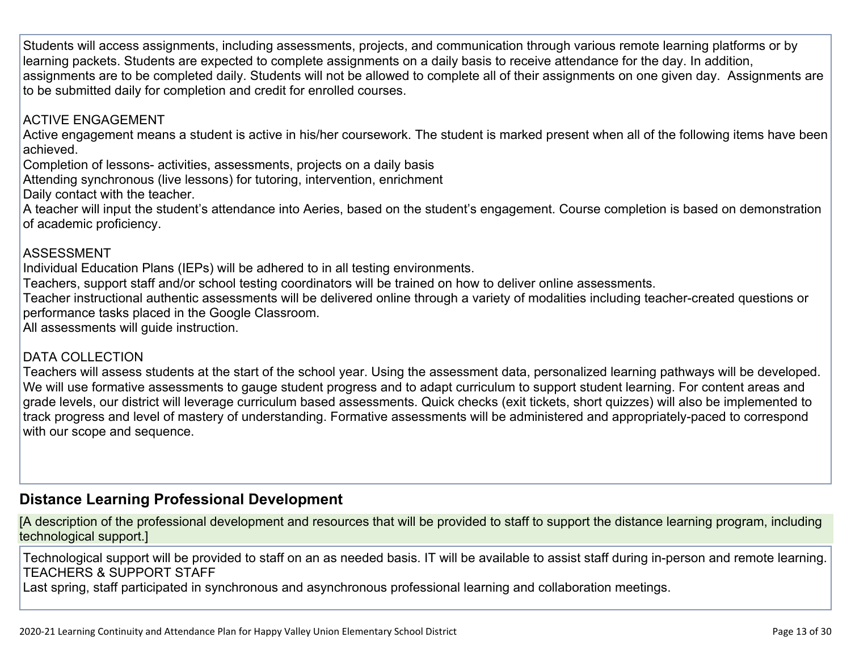Students will access assignments, including assessments, projects, and communication through various remote learning platforms or by learning packets. Students are expected to complete assignments on a daily basis to receive attendance for the day. In addition, assignments are to be completed daily. Students will not be allowed to complete all of their assignments on one given day. Assignments are to be submitted daily for completion and credit for enrolled courses.

#### ACTIVE ENGAGEMENT

Active engagement means a student is active in his/her coursework. The student is marked present when all of the following items have been achieved.

Completion of lessons- activities, assessments, projects on a daily basis

Attending synchronous (live lessons) for tutoring, intervention, enrichment

Daily contact with the teacher.

A teacher will input the student's attendance into Aeries, based on the student's engagement. Course completion is based on demonstration of academic proficiency.

#### ASSESSMENT

Individual Education Plans (IEPs) will be adhered to in all testing environments.

Teachers, support staff and/or school testing coordinators will be trained on how to deliver online assessments.

Teacher instructional authentic assessments will be delivered online through a variety of modalities including teacher-created questions or performance tasks placed in the Google Classroom.

All assessments will guide instruction.

#### DATA COLLECTION

Teachers will assess students at the start of the school year. Using the assessment data, personalized learning pathways will be developed. We will use formative assessments to gauge student progress and to adapt curriculum to support student learning. For content areas and grade levels, our district will leverage curriculum based assessments. Quick checks (exit tickets, short quizzes) will also be implemented to track progress and level of mastery of understanding. Formative assessments will be administered and appropriately-paced to correspond with our scope and sequence.

#### **Distance Learning Professional Development**

[A description of the professional development and resources that will be provided to staff to support the distance learning program, including technological support.]

Technological support will be provided to staff on an as needed basis. IT will be available to assist staff during in-person and remote learning. TEACHERS & SUPPORT STAFF

Last spring, staff participated in synchronous and asynchronous professional learning and collaboration meetings.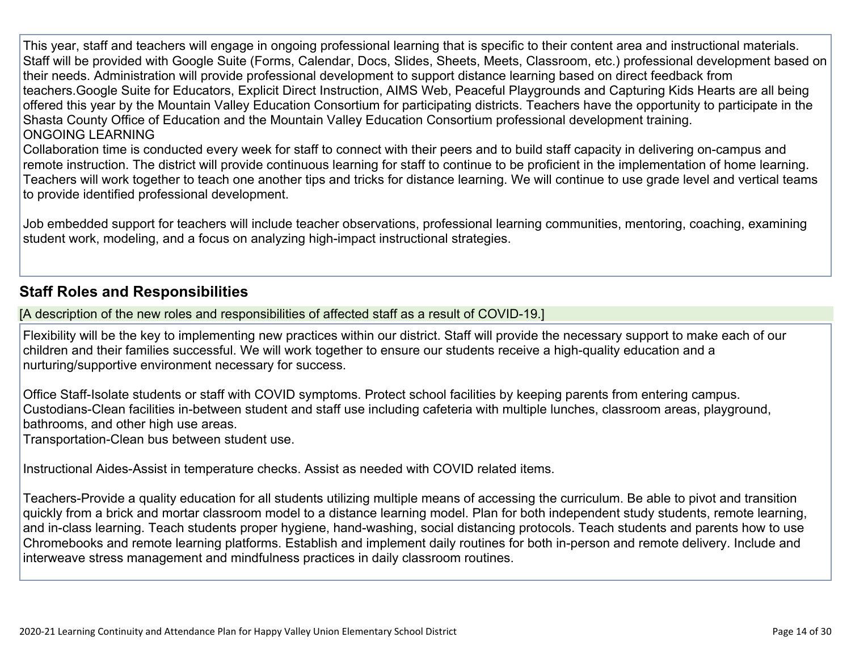This year, staff and teachers will engage in ongoing professional learning that is specific to their content area and instructional materials. Staff will be provided with Google Suite (Forms, Calendar, Docs, Slides, Sheets, Meets, Classroom, etc.) professional development based on their needs. Administration will provide professional development to support distance learning based on direct feedback from teachers.Google Suite for Educators, Explicit Direct Instruction, AIMS Web, Peaceful Playgrounds and Capturing Kids Hearts are all being offered this year by the Mountain Valley Education Consortium for participating districts. Teachers have the opportunity to participate in the Shasta County Office of Education and the Mountain Valley Education Consortium professional development training. ONGOING LEARNING

Collaboration time is conducted every week for staff to connect with their peers and to build staff capacity in delivering on-campus and remote instruction. The district will provide continuous learning for staff to continue to be proficient in the implementation of home learning. Teachers will work together to teach one another tips and tricks for distance learning. We will continue to use grade level and vertical teams to provide identified professional development.

Job embedded support for teachers will include teacher observations, professional learning communities, mentoring, coaching, examining student work, modeling, and a focus on analyzing high-impact instructional strategies.

#### **Staff Roles and Responsibilities**

[A description of the new roles and responsibilities of affected staff as a result of COVID-19.]

Flexibility will be the key to implementing new practices within our district. Staff will provide the necessary support to make each of our children and their families successful. We will work together to ensure our students receive a high-quality education and a nurturing/supportive environment necessary for success.

Office Staff-Isolate students or staff with COVID symptoms. Protect school facilities by keeping parents from entering campus. Custodians-Clean facilities in-between student and staff use including cafeteria with multiple lunches, classroom areas, playground, bathrooms, and other high use areas.

Transportation-Clean bus between student use.

Instructional Aides-Assist in temperature checks. Assist as needed with COVID related items.

Teachers-Provide a quality education for all students utilizing multiple means of accessing the curriculum. Be able to pivot and transition quickly from a brick and mortar classroom model to a distance learning model. Plan for both independent study students, remote learning, and in-class learning. Teach students proper hygiene, hand-washing, social distancing protocols. Teach students and parents how to use Chromebooks and remote learning platforms. Establish and implement daily routines for both in-person and remote delivery. Include and interweave stress management and mindfulness practices in daily classroom routines.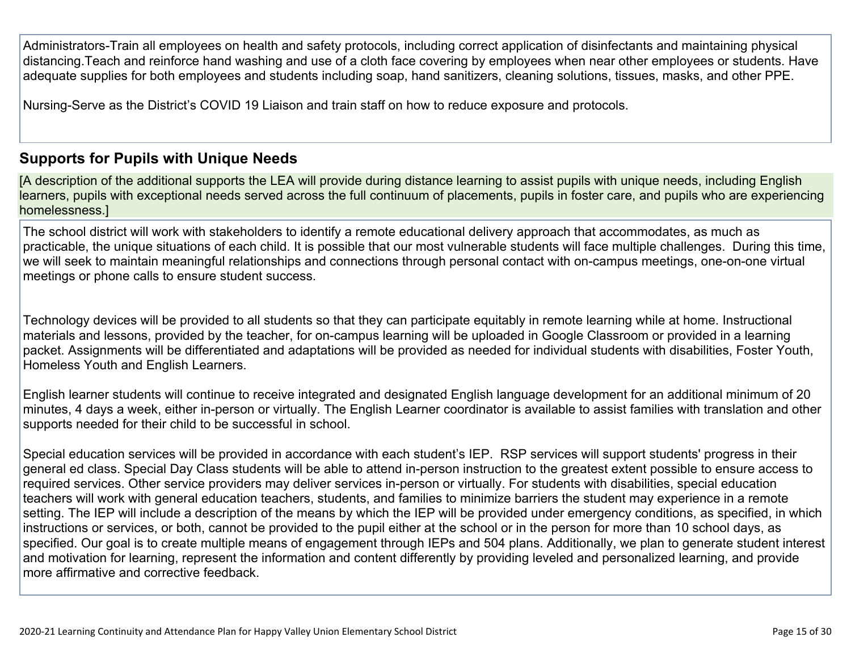Administrators-Train all employees on health and safety protocols, including correct application of disinfectants and maintaining physical distancing.Teach and reinforce hand washing and use of a cloth face covering by employees when near other employees or students. Have adequate supplies for both employees and students including soap, hand sanitizers, cleaning solutions, tissues, masks, and other PPE.

Nursing-Serve as the District's COVID 19 Liaison and train staff on how to reduce exposure and protocols.

#### **Supports for Pupils with Unique Needs**

[A description of the additional supports the LEA will provide during distance learning to assist pupils with unique needs, including English learners, pupils with exceptional needs served across the full continuum of placements, pupils in foster care, and pupils who are experiencing homelessness.]

The school district will work with stakeholders to identify a remote educational delivery approach that accommodates, as much as practicable, the unique situations of each child. It is possible that our most vulnerable students will face multiple challenges. During this time, we will seek to maintain meaningful relationships and connections through personal contact with on-campus meetings, one-on-one virtual meetings or phone calls to ensure student success.

Technology devices will be provided to all students so that they can participate equitably in remote learning while at home. Instructional materials and lessons, provided by the teacher, for on-campus learning will be uploaded in Google Classroom or provided in a learning packet. Assignments will be differentiated and adaptations will be provided as needed for individual students with disabilities, Foster Youth, Homeless Youth and English Learners.

English learner students will continue to receive integrated and designated English language development for an additional minimum of 20 minutes, 4 days a week, either in-person or virtually. The English Learner coordinator is available to assist families with translation and other supports needed for their child to be successful in school.

Special education services will be provided in accordance with each student's IEP. RSP services will support students' progress in their general ed class. Special Day Class students will be able to attend in-person instruction to the greatest extent possible to ensure access to required services. Other service providers may deliver services in-person or virtually. For students with disabilities, special education teachers will work with general education teachers, students, and families to minimize barriers the student may experience in a remote setting. The IEP will include a description of the means by which the IEP will be provided under emergency conditions, as specified, in which instructions or services, or both, cannot be provided to the pupil either at the school or in the person for more than 10 school days, as specified. Our goal is to create multiple means of engagement through IEPs and 504 plans. Additionally, we plan to generate student interest and motivation for learning, represent the information and content differently by providing leveled and personalized learning, and provide more affirmative and corrective feedback.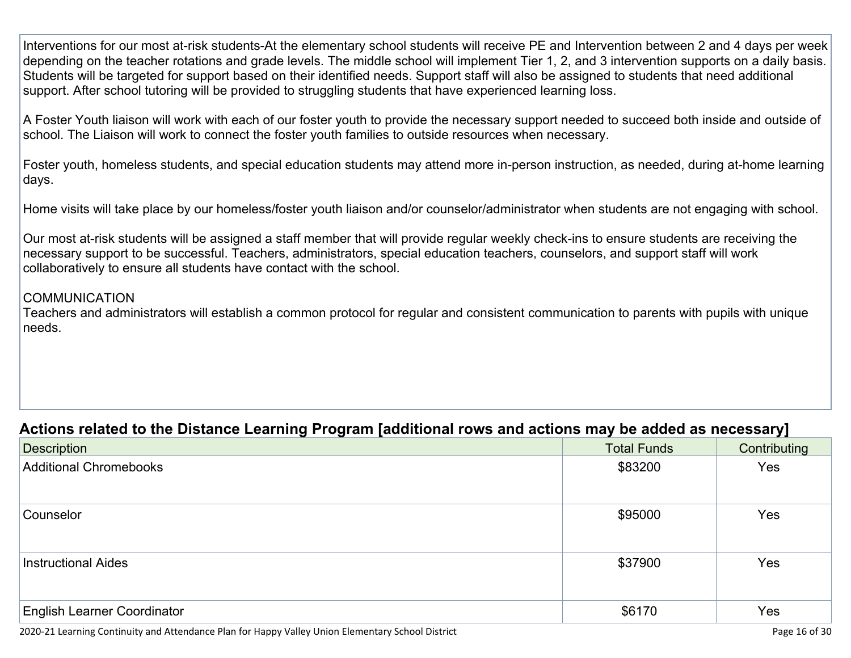Interventions for our most at-risk students-At the elementary school students will receive PE and Intervention between 2 and 4 days per week depending on the teacher rotations and grade levels. The middle school will implement Tier 1, 2, and 3 intervention supports on a daily basis. Students will be targeted for support based on their identified needs. Support staff will also be assigned to students that need additional support. After school tutoring will be provided to struggling students that have experienced learning loss.

A Foster Youth liaison will work with each of our foster youth to provide the necessary support needed to succeed both inside and outside of school. The Liaison will work to connect the foster youth families to outside resources when necessary.

Foster youth, homeless students, and special education students may attend more in-person instruction, as needed, during at-home learning days.

Home visits will take place by our homeless/foster youth liaison and/or counselor/administrator when students are not engaging with school.

Our most at-risk students will be assigned a staff member that will provide regular weekly check-ins to ensure students are receiving the necessary support to be successful. Teachers, administrators, special education teachers, counselors, and support staff will work collaboratively to ensure all students have contact with the school.

#### COMMUNICATION

Teachers and administrators will establish a common protocol for regular and consistent communication to parents with pupils with unique needs.

#### **Actions related to the Distance Learning Program [additional rows and actions may be added as necessary]**

| <b>Description</b>                 | <b>Total Funds</b> | Contributing |
|------------------------------------|--------------------|--------------|
| <b>Additional Chromebooks</b>      | \$83200            | Yes          |
| Counselor                          | \$95000            | Yes          |
|                                    |                    |              |
| <b>Instructional Aides</b>         | \$37900            | Yes          |
|                                    |                    |              |
| <b>English Learner Coordinator</b> | \$6170             | Yes          |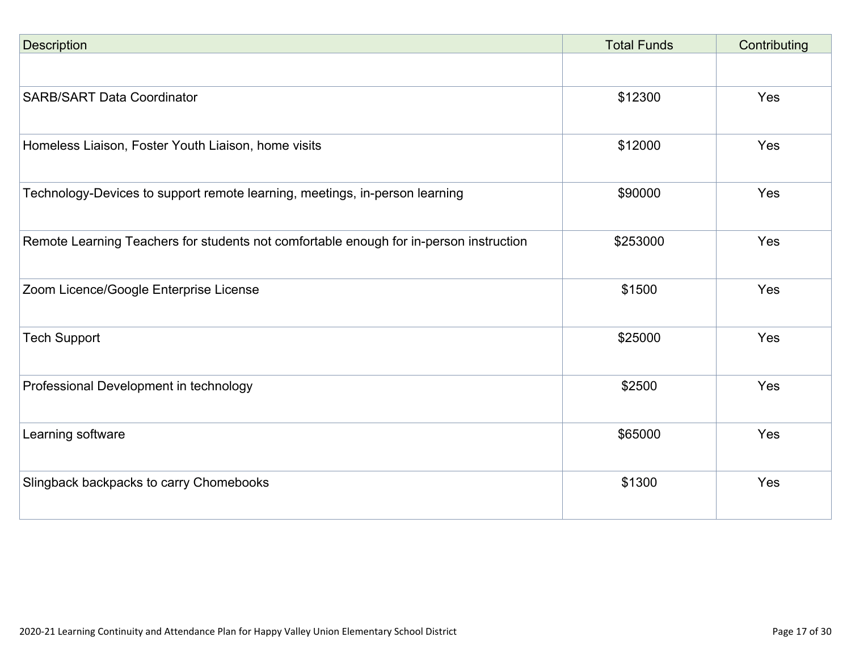| <b>Description</b>                                                                     | <b>Total Funds</b> | Contributing |
|----------------------------------------------------------------------------------------|--------------------|--------------|
|                                                                                        |                    |              |
| <b>SARB/SART Data Coordinator</b>                                                      | \$12300            | Yes          |
| Homeless Liaison, Foster Youth Liaison, home visits                                    | \$12000            | Yes          |
| Technology-Devices to support remote learning, meetings, in-person learning            | \$90000            | Yes          |
| Remote Learning Teachers for students not comfortable enough for in-person instruction | \$253000           | Yes          |
| Zoom Licence/Google Enterprise License                                                 | \$1500             | Yes          |
| <b>Tech Support</b>                                                                    | \$25000            | Yes          |
| Professional Development in technology                                                 | \$2500             | Yes          |
| Learning software                                                                      | \$65000            | Yes          |
| Slingback backpacks to carry Chomebooks                                                | \$1300             | Yes          |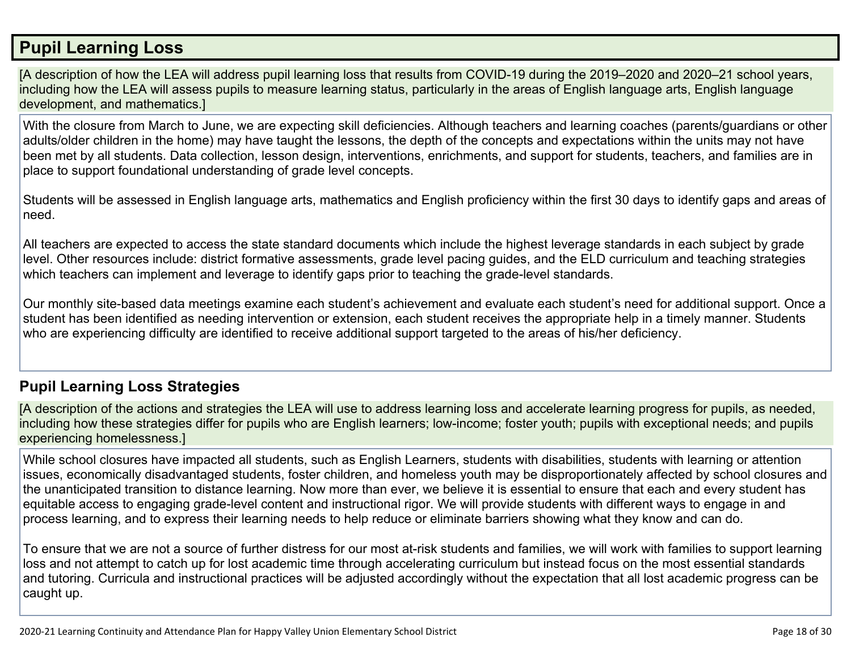#### **Pupil Learning Loss**

[A description of how the LEA will address pupil learning loss that results from COVID-19 during the 2019–2020 and 2020–21 school years, including how the LEA will assess pupils to measure learning status, particularly in the areas of English language arts, English language development, and mathematics.]

With the closure from March to June, we are expecting skill deficiencies. Although teachers and learning coaches (parents/guardians or other adults/older children in the home) may have taught the lessons, the depth of the concepts and expectations within the units may not have been met by all students. Data collection, lesson design, interventions, enrichments, and support for students, teachers, and families are in place to support foundational understanding of grade level concepts.

Students will be assessed in English language arts, mathematics and English proficiency within the first 30 days to identify gaps and areas of need.

All teachers are expected to access the state standard documents which include the highest leverage standards in each subject by grade level. Other resources include: district formative assessments, grade level pacing guides, and the ELD curriculum and teaching strategies which teachers can implement and leverage to identify gaps prior to teaching the grade-level standards.

Our monthly site-based data meetings examine each student's achievement and evaluate each student's need for additional support. Once a student has been identified as needing intervention or extension, each student receives the appropriate help in a timely manner. Students who are experiencing difficulty are identified to receive additional support targeted to the areas of his/her deficiency.

#### **Pupil Learning Loss Strategies**

[A description of the actions and strategies the LEA will use to address learning loss and accelerate learning progress for pupils, as needed, including how these strategies differ for pupils who are English learners; low-income; foster youth; pupils with exceptional needs; and pupils experiencing homelessness.]

While school closures have impacted all students, such as English Learners, students with disabilities, students with learning or attention issues, economically disadvantaged students, foster children, and homeless youth may be disproportionately affected by school closures and the unanticipated transition to distance learning. Now more than ever, we believe it is essential to ensure that each and every student has equitable access to engaging grade-level content and instructional rigor. We will provide students with different ways to engage in and process learning, and to express their learning needs to help reduce or eliminate barriers showing what they know and can do.

To ensure that we are not a source of further distress for our most at-risk students and families, we will work with families to support learning loss and not attempt to catch up for lost academic time through accelerating curriculum but instead focus on the most essential standards and tutoring. Curricula and instructional practices will be adjusted accordingly without the expectation that all lost academic progress can be caught up.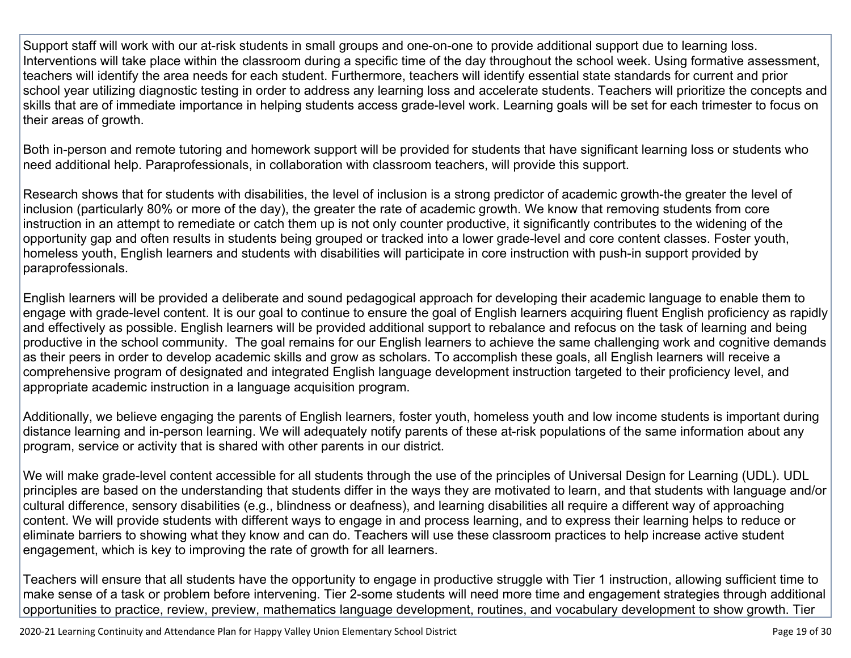Support staff will work with our at-risk students in small groups and one-on-one to provide additional support due to learning loss. Interventions will take place within the classroom during a specific time of the day throughout the school week. Using formative assessment, teachers will identify the area needs for each student. Furthermore, teachers will identify essential state standards for current and prior school year utilizing diagnostic testing in order to address any learning loss and accelerate students. Teachers will prioritize the concepts and skills that are of immediate importance in helping students access grade-level work. Learning goals will be set for each trimester to focus on their areas of growth.

Both in-person and remote tutoring and homework support will be provided for students that have significant learning loss or students who need additional help. Paraprofessionals, in collaboration with classroom teachers, will provide this support.

Research shows that for students with disabilities, the level of inclusion is a strong predictor of academic growth-the greater the level of inclusion (particularly 80% or more of the day), the greater the rate of academic growth. We know that removing students from core instruction in an attempt to remediate or catch them up is not only counter productive, it significantly contributes to the widening of the opportunity gap and often results in students being grouped or tracked into a lower grade-level and core content classes. Foster youth, homeless youth, English learners and students with disabilities will participate in core instruction with push-in support provided by paraprofessionals.

English learners will be provided a deliberate and sound pedagogical approach for developing their academic language to enable them to engage with grade-level content. It is our goal to continue to ensure the goal of English learners acquiring fluent English proficiency as rapidly and effectively as possible. English learners will be provided additional support to rebalance and refocus on the task of learning and being productive in the school community. The goal remains for our English learners to achieve the same challenging work and cognitive demands as their peers in order to develop academic skills and grow as scholars. To accomplish these goals, all English learners will receive a comprehensive program of designated and integrated English language development instruction targeted to their proficiency level, and appropriate academic instruction in a language acquisition program.

Additionally, we believe engaging the parents of English learners, foster youth, homeless youth and low income students is important during distance learning and in-person learning. We will adequately notify parents of these at-risk populations of the same information about any program, service or activity that is shared with other parents in our district.

We will make grade-level content accessible for all students through the use of the principles of Universal Design for Learning (UDL). UDL principles are based on the understanding that students differ in the ways they are motivated to learn, and that students with language and/or cultural difference, sensory disabilities (e.g., blindness or deafness), and learning disabilities all require a different way of approaching content. We will provide students with different ways to engage in and process learning, and to express their learning helps to reduce or eliminate barriers to showing what they know and can do. Teachers will use these classroom practices to help increase active student engagement, which is key to improving the rate of growth for all learners.

Teachers will ensure that all students have the opportunity to engage in productive struggle with Tier 1 instruction, allowing sufficient time to make sense of a task or problem before intervening. Tier 2-some students will need more time and engagement strategies through additional opportunities to practice, review, preview, mathematics language development, routines, and vocabulary development to show growth. Tier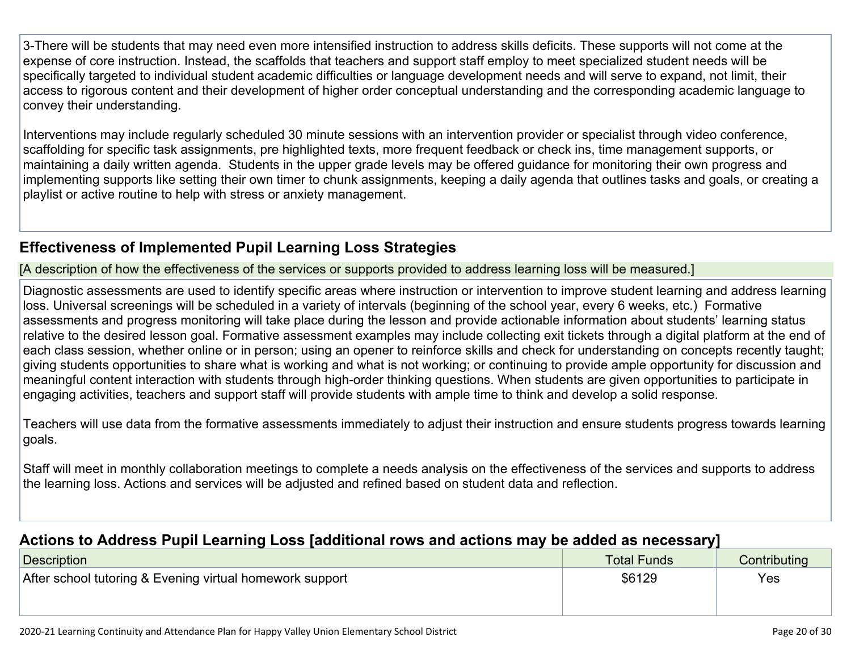3-There will be students that may need even more intensified instruction to address skills deficits. These supports will not come at the expense of core instruction. Instead, the scaffolds that teachers and support staff employ to meet specialized student needs will be specifically targeted to individual student academic difficulties or language development needs and will serve to expand, not limit, their access to rigorous content and their development of higher order conceptual understanding and the corresponding academic language to convey their understanding.

Interventions may include regularly scheduled 30 minute sessions with an intervention provider or specialist through video conference, scaffolding for specific task assignments, pre highlighted texts, more frequent feedback or check ins, time management supports, or maintaining a daily written agenda. Students in the upper grade levels may be offered guidance for monitoring their own progress and implementing supports like setting their own timer to chunk assignments, keeping a daily agenda that outlines tasks and goals, or creating a playlist or active routine to help with stress or anxiety management.

#### **Effectiveness of Implemented Pupil Learning Loss Strategies**

[A description of how the effectiveness of the services or supports provided to address learning loss will be measured.]

Diagnostic assessments are used to identify specific areas where instruction or intervention to improve student learning and address learning loss. Universal screenings will be scheduled in a variety of intervals (beginning of the school year, every 6 weeks, etc.) Formative assessments and progress monitoring will take place during the lesson and provide actionable information about students' learning status relative to the desired lesson goal. Formative assessment examples may include collecting exit tickets through a digital platform at the end of each class session, whether online or in person; using an opener to reinforce skills and check for understanding on concepts recently taught; giving students opportunities to share what is working and what is not working; or continuing to provide ample opportunity for discussion and meaningful content interaction with students through high-order thinking questions. When students are given opportunities to participate in engaging activities, teachers and support staff will provide students with ample time to think and develop a solid response.

Teachers will use data from the formative assessments immediately to adjust their instruction and ensure students progress towards learning goals.

Staff will meet in monthly collaboration meetings to complete a needs analysis on the effectiveness of the services and supports to address the learning loss. Actions and services will be adjusted and refined based on student data and reflection.

#### **Actions to Address Pupil Learning Loss [additional rows and actions may be added as necessary]**

| Description                                              | <b>Total Funds</b> | Contributing |
|----------------------------------------------------------|--------------------|--------------|
| After school tutoring & Evening virtual homework support | \$6129             | Yes          |
|                                                          |                    |              |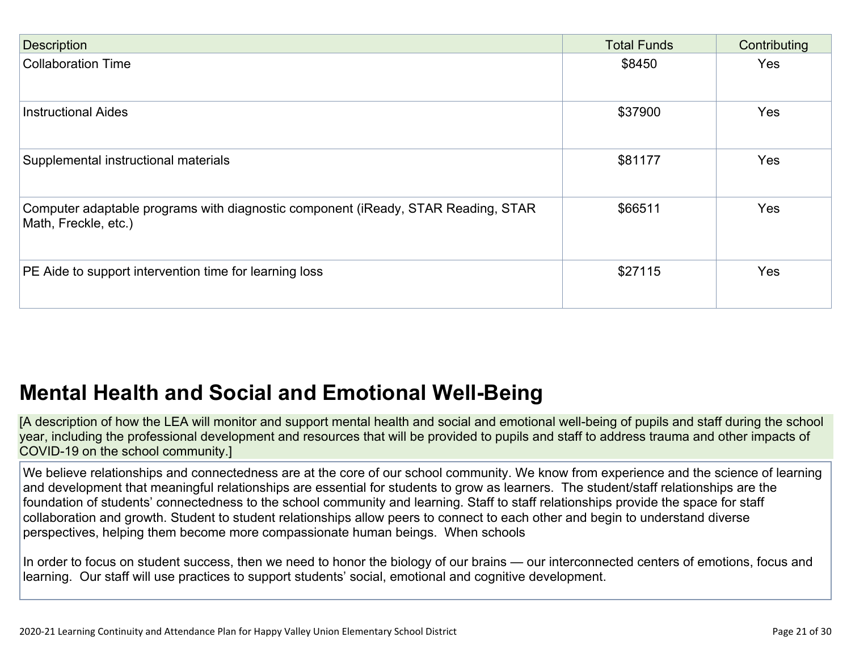| <b>Description</b>                                                                                        | <b>Total Funds</b> | Contributing |
|-----------------------------------------------------------------------------------------------------------|--------------------|--------------|
| <b>Collaboration Time</b>                                                                                 | \$8450             | Yes          |
| <b>Instructional Aides</b>                                                                                | \$37900            | Yes          |
| Supplemental instructional materials                                                                      | \$81177            | Yes          |
| Computer adaptable programs with diagnostic component (iReady, STAR Reading, STAR<br>Math, Freckle, etc.) | \$66511            | Yes          |
| PE Aide to support intervention time for learning loss                                                    | \$27115            | Yes          |

## **Mental Health and Social and Emotional Well-Being**

[A description of how the LEA will monitor and support mental health and social and emotional well-being of pupils and staff during the school year, including the professional development and resources that will be provided to pupils and staff to address trauma and other impacts of COVID-19 on the school community.]

We believe relationships and connectedness are at the core of our school community. We know from experience and the science of learning and development that meaningful relationships are essential for students to grow as learners. The student/staff relationships are the foundation of students' connectedness to the school community and learning. Staff to staff relationships provide the space for staff collaboration and growth. Student to student relationships allow peers to connect to each other and begin to understand diverse perspectives, helping them become more compassionate human beings. When schools

In order to focus on student success, then we need to honor the biology of our brains — our interconnected centers of emotions, focus and learning. Our staff will use practices to support students' social, emotional and cognitive development.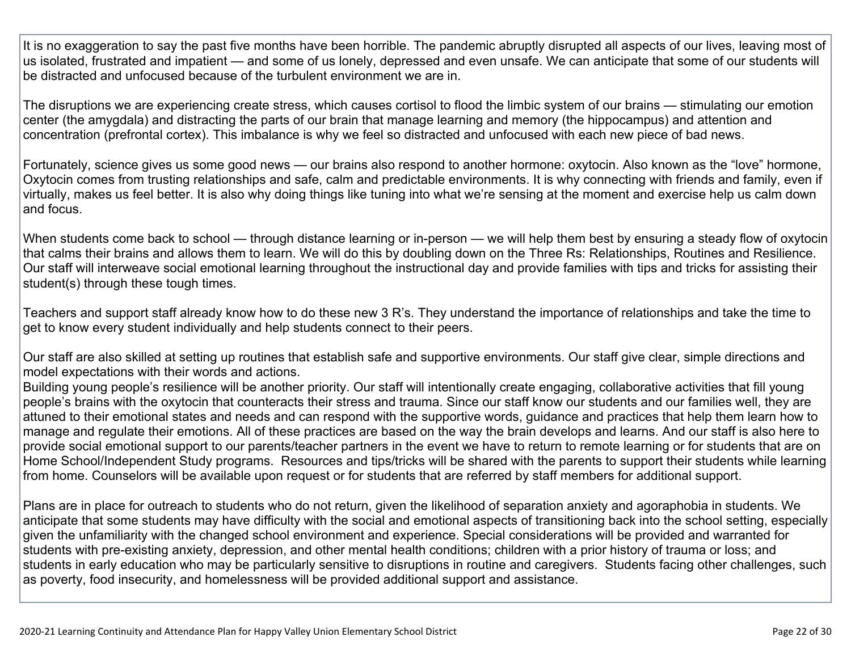It is no exaggeration to say the past five months have been horrible. The pandemic abruptly disrupted all aspects of our lives, leaving most of us isolated, frustrated and impatient — and some of us lonely, depressed and even unsafe. We can anticipate that some of our students will be distracted and unfocused because of the turbulent environment we are in.

The disruptions we are experiencing create stress, which causes cortisol to flood the limbic system of our brains — stimulating our emotion center (the amygdala) and distracting the parts of our brain that manage learning and memory (the hippocampus) and attention and concentration (prefrontal cortex). This imbalance is why we feel so distracted and unfocused with each new piece of bad news.

Fortunately, science gives us some good news — our brains also respond to another hormone: oxytocin. Also known as the "love" hormone, Oxytocin comes from trusting relationships and safe, calm and predictable environments. It is why connecting with friends and family, even if virtually, makes us feel better. It is also why doing things like tuning into what we're sensing at the moment and exercise help us calm down and focus.

When students come back to school — through distance learning or in-person — we will help them best by ensuring a steady flow of oxytocin that calms their brains and allows them to learn. We will do this by doubling down on the Three Rs: Relationships, Routines and Resilience. Our staff will interweave social emotional learning throughout the instructional day and provide families with tips and tricks for assisting their student(s) through these tough times.

Teachers and support staff already know how to do these new 3 R's. They understand the importance of relationships and take the time to get to know every student individually and help students connect to their peers.

Our staff are also skilled at setting up routines that establish safe and supportive environments. Our staff give clear, simple directions and model expectations with their words and actions.

Building young people's resilience will be another priority. Our staff will intentionally create engaging, collaborative activities that fill young people's brains with the oxytocin that counteracts their stress and trauma. Since our staff know our students and our families well, they are attuned to their emotional states and needs and can respond with the supportive words, guidance and practices that help them learn how to manage and regulate their emotions. All of these practices are based on the way the brain develops and learns. And our staff is also here to provide social emotional support to our parents/teacher partners in the event we have to return to remote learning or for students that are on Home School/Independent Study programs. Resources and tips/tricks will be shared with the parents to support their students while learning from home. Counselors will be available upon request or for students that are referred by staff members for additional support.

Plans are in place for outreach to students who do not return, given the likelihood of separation anxiety and agoraphobia in students. We anticipate that some students may have difficulty with the social and emotional aspects of transitioning back into the school setting, especially given the unfamiliarity with the changed school environment and experience. Special considerations will be provided and warranted for students with pre-existing anxiety, depression, and other mental health conditions; children with a prior history of trauma or loss; and students in early education who may be particularly sensitive to disruptions in routine and caregivers. Students facing other challenges, such as poverty, food insecurity, and homelessness will be provided additional support and assistance.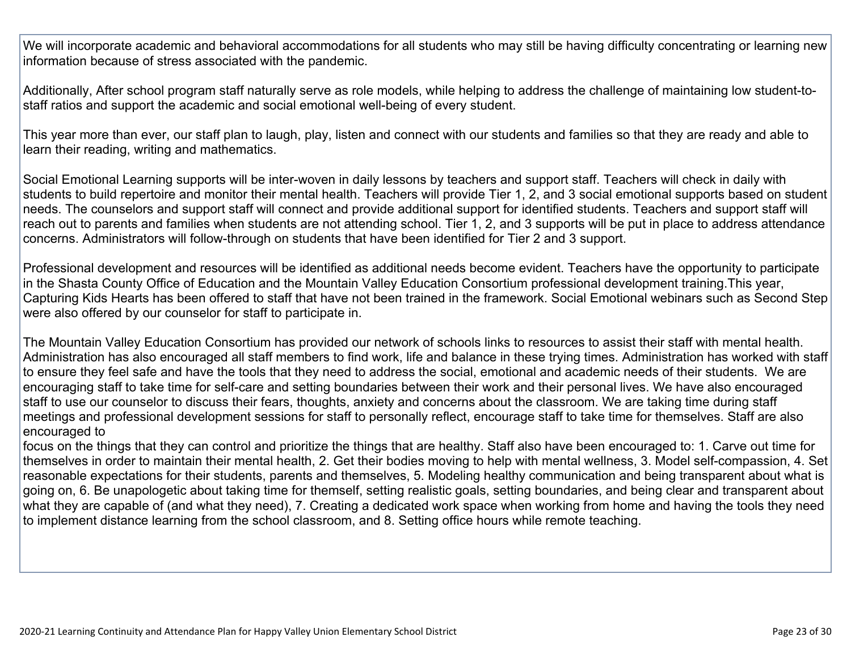We will incorporate academic and behavioral accommodations for all students who may still be having difficulty concentrating or learning new information because of stress associated with the pandemic.

Additionally, After school program staff naturally serve as role models, while helping to address the challenge of maintaining low student-tostaff ratios and support the academic and social emotional well-being of every student.

This year more than ever, our staff plan to laugh, play, listen and connect with our students and families so that they are ready and able to learn their reading, writing and mathematics.

Social Emotional Learning supports will be inter-woven in daily lessons by teachers and support staff. Teachers will check in daily with students to build repertoire and monitor their mental health. Teachers will provide Tier 1, 2, and 3 social emotional supports based on student needs. The counselors and support staff will connect and provide additional support for identified students. Teachers and support staff will reach out to parents and families when students are not attending school. Tier 1, 2, and 3 supports will be put in place to address attendance concerns. Administrators will follow-through on students that have been identified for Tier 2 and 3 support.

Professional development and resources will be identified as additional needs become evident. Teachers have the opportunity to participate in the Shasta County Office of Education and the Mountain Valley Education Consortium professional development training.This year, Capturing Kids Hearts has been offered to staff that have not been trained in the framework. Social Emotional webinars such as Second Step were also offered by our counselor for staff to participate in.

The Mountain Valley Education Consortium has provided our network of schools links to resources to assist their staff with mental health. Administration has also encouraged all staff members to find work, life and balance in these trying times. Administration has worked with staff to ensure they feel safe and have the tools that they need to address the social, emotional and academic needs of their students. We are encouraging staff to take time for self-care and setting boundaries between their work and their personal lives. We have also encouraged staff to use our counselor to discuss their fears, thoughts, anxiety and concerns about the classroom. We are taking time during staff meetings and professional development sessions for staff to personally reflect, encourage staff to take time for themselves. Staff are also encouraged to

focus on the things that they can control and prioritize the things that are healthy. Staff also have been encouraged to: 1. Carve out time for themselves in order to maintain their mental health, 2. Get their bodies moving to help with mental wellness, 3. Model self-compassion, 4. Set reasonable expectations for their students, parents and themselves, 5. Modeling healthy communication and being transparent about what is going on, 6. Be unapologetic about taking time for themself, setting realistic goals, setting boundaries, and being clear and transparent about what they are capable of (and what they need), 7. Creating a dedicated work space when working from home and having the tools they need to implement distance learning from the school classroom, and 8. Setting office hours while remote teaching.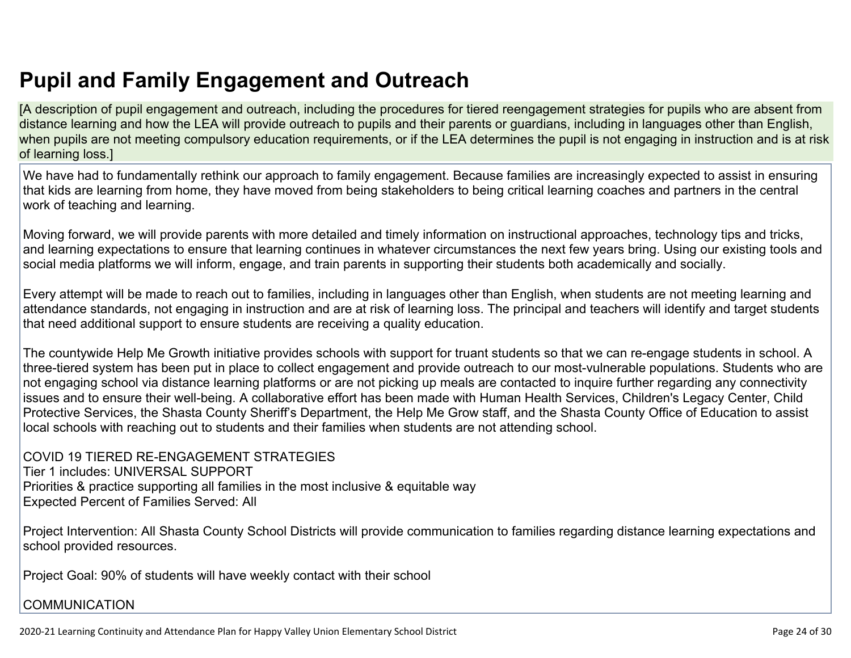[A description of pupil engagement and outreach, including the procedures for tiered reengagement strategies for pupils who are absent from distance learning and how the LEA will provide outreach to pupils and their parents or guardians, including in languages other than English, when pupils are not meeting compulsory education requirements, or if the LEA determines the pupil is not engaging in instruction and is at risk of learning loss.]

We have had to fundamentally rethink our approach to family engagement. Because families are increasingly expected to assist in ensuring that kids are learning from home, they have moved from being stakeholders to being critical learning coaches and partners in the central work of teaching and learning.

Moving forward, we will provide parents with more detailed and timely information on instructional approaches, technology tips and tricks, and learning expectations to ensure that learning continues in whatever circumstances the next few years bring. Using our existing tools and social media platforms we will inform, engage, and train parents in supporting their students both academically and socially.

Every attempt will be made to reach out to families, including in languages other than English, when students are not meeting learning and attendance standards, not engaging in instruction and are at risk of learning loss. The principal and teachers will identify and target students that need additional support to ensure students are receiving a quality education.

The countywide Help Me Growth initiative provides schools with support for truant students so that we can re-engage students in school. A three-tiered system has been put in place to collect engagement and provide outreach to our most-vulnerable populations. Students who are not engaging school via distance learning platforms or are not picking up meals are contacted to inquire further regarding any connectivity issues and to ensure their well-being. A collaborative effort has been made with Human Health Services, Children's Legacy Center, Child Protective Services, the Shasta County Sheriff's Department, the Help Me Grow staff, and the Shasta County Office of Education to assist local schools with reaching out to students and their families when students are not attending school.

COVID 19 TIERED RE-ENGAGEMENT STRATEGIES Tier 1 includes: UNIVERSAL SUPPORT Priorities & practice supporting all families in the most inclusive & equitable way Expected Percent of Families Served: All

Project Intervention: All Shasta County School Districts will provide communication to families regarding distance learning expectations and school provided resources.

Project Goal: 90% of students will have weekly contact with their school

#### **COMMUNICATION**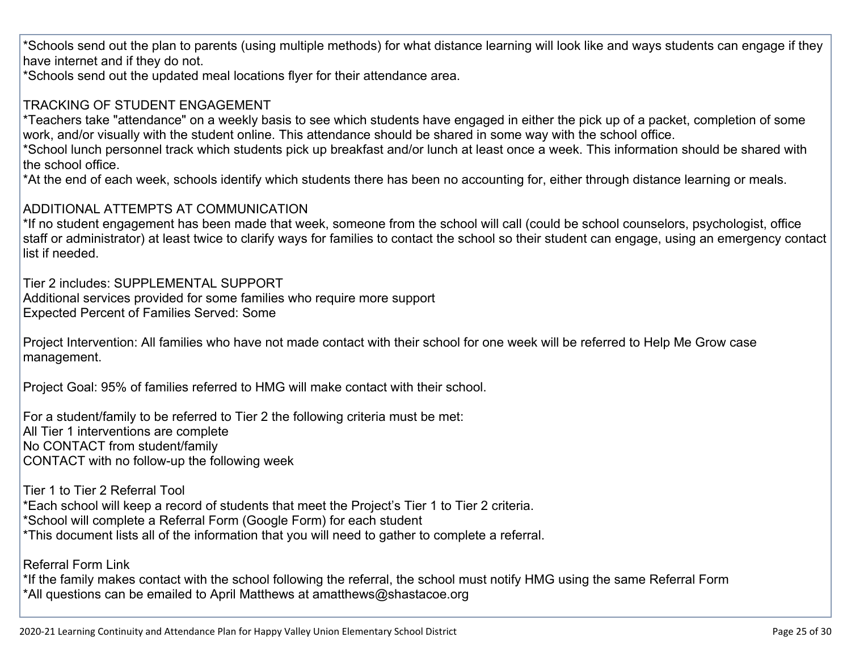\*Schools send out the plan to parents (using multiple methods) for what distance learning will look like and ways students can engage if they have internet and if they do not.

\*Schools send out the updated meal locations flyer for their attendance area.

#### TRACKING OF STUDENT ENGAGEMENT

\*Teachers take "attendance" on a weekly basis to see which students have engaged in either the pick up of a packet, completion of some work, and/or visually with the student online. This attendance should be shared in some way with the school office.

\*School lunch personnel track which students pick up breakfast and/or lunch at least once a week. This information should be shared with the school office.

\*At the end of each week, schools identify which students there has been no accounting for, either through distance learning or meals.

#### ADDITIONAL ATTEMPTS AT COMMUNICATION

\*If no student engagement has been made that week, someone from the school will call (could be school counselors, psychologist, office staff or administrator) at least twice to clarify ways for families to contact the school so their student can engage, using an emergency contact list if needed.

Tier 2 includes: SUPPLEMENTAL SUPPORT Additional services provided for some families who require more support Expected Percent of Families Served: Some

Project Intervention: All families who have not made contact with their school for one week will be referred to Help Me Grow case management.

Project Goal: 95% of families referred to HMG will make contact with their school.

For a student/family to be referred to Tier 2 the following criteria must be met: All Tier 1 interventions are complete No CONTACT from student/family CONTACT with no follow-up the following week

Tier 1 to Tier 2 Referral Tool \*Each school will keep a record of students that meet the Project's Tier 1 to Tier 2 criteria. \*School will complete a Referral Form (Google Form) for each student \*This document lists all of the information that you will need to gather to complete a referral.

Referral Form Link

\*If the family makes contact with the school following the referral, the school must notify HMG using the same Referral Form \*All questions can be emailed to April Matthews at amatthews@shastacoe.org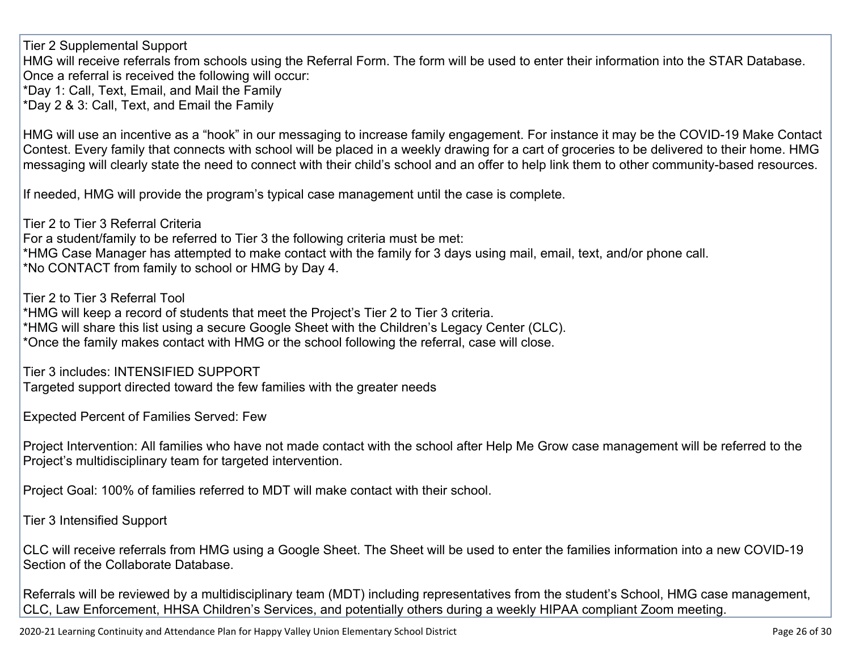Tier 2 Supplemental Support

HMG will receive referrals from schools using the Referral Form. The form will be used to enter their information into the STAR Database. Once a referral is received the following will occur:

\*Day 1: Call, Text, Email, and Mail the Family

\*Day 2 & 3: Call, Text, and Email the Family

HMG will use an incentive as a "hook" in our messaging to increase family engagement. For instance it may be the COVID-19 Make Contact Contest. Every family that connects with school will be placed in a weekly drawing for a cart of groceries to be delivered to their home. HMG messaging will clearly state the need to connect with their child's school and an offer to help link them to other community-based resources.

If needed, HMG will provide the program's typical case management until the case is complete.

Tier 2 to Tier 3 Referral Criteria For a student/family to be referred to Tier 3 the following criteria must be met: \*HMG Case Manager has attempted to make contact with the family for 3 days using mail, email, text, and/or phone call. \*No CONTACT from family to school or HMG by Day 4.

Tier 2 to Tier 3 Referral Tool

\*HMG will keep a record of students that meet the Project's Tier 2 to Tier 3 criteria. \*HMG will share this list using a secure Google Sheet with the Children's Legacy Center (CLC). \*Once the family makes contact with HMG or the school following the referral, case will close.

Tier 3 includes: INTENSIFIED SUPPORT

Targeted support directed toward the few families with the greater needs

Expected Percent of Families Served: Few

Project Intervention: All families who have not made contact with the school after Help Me Grow case management will be referred to the Project's multidisciplinary team for targeted intervention.

Project Goal: 100% of families referred to MDT will make contact with their school.

Tier 3 Intensified Support

CLC will receive referrals from HMG using a Google Sheet. The Sheet will be used to enter the families information into a new COVID-19 Section of the Collaborate Database.

Referrals will be reviewed by a multidisciplinary team (MDT) including representatives from the student's School, HMG case management, CLC, Law Enforcement, HHSA Children's Services, and potentially others during a weekly HIPAA compliant Zoom meeting.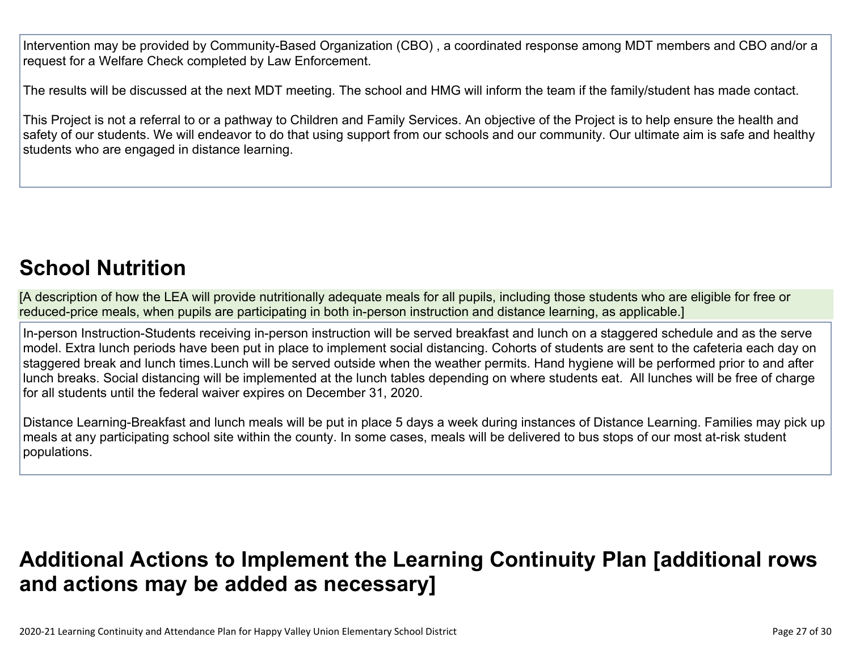Intervention may be provided by Community-Based Organization (CBO) , a coordinated response among MDT members and CBO and/or a request for a Welfare Check completed by Law Enforcement.

The results will be discussed at the next MDT meeting. The school and HMG will inform the team if the family/student has made contact.

This Project is not a referral to or a pathway to Children and Family Services. An objective of the Project is to help ensure the health and safety of our students. We will endeavor to do that using support from our schools and our community. Our ultimate aim is safe and healthy students who are engaged in distance learning.

## **School Nutrition**

[A description of how the LEA will provide nutritionally adequate meals for all pupils, including those students who are eligible for free or reduced-price meals, when pupils are participating in both in-person instruction and distance learning, as applicable.]

In-person Instruction-Students receiving in-person instruction will be served breakfast and lunch on a staggered schedule and as the serve model. Extra lunch periods have been put in place to implement social distancing. Cohorts of students are sent to the cafeteria each day on staggered break and lunch times.Lunch will be served outside when the weather permits. Hand hygiene will be performed prior to and after lunch breaks. Social distancing will be implemented at the lunch tables depending on where students eat. All lunches will be free of charge for all students until the federal waiver expires on December 31, 2020.

Distance Learning-Breakfast and lunch meals will be put in place 5 days a week during instances of Distance Learning. Families may pick up meals at any participating school site within the county. In some cases, meals will be delivered to bus stops of our most at-risk student populations.

## **Additional Actions to Implement the Learning Continuity Plan [additional rows and actions may be added as necessary]**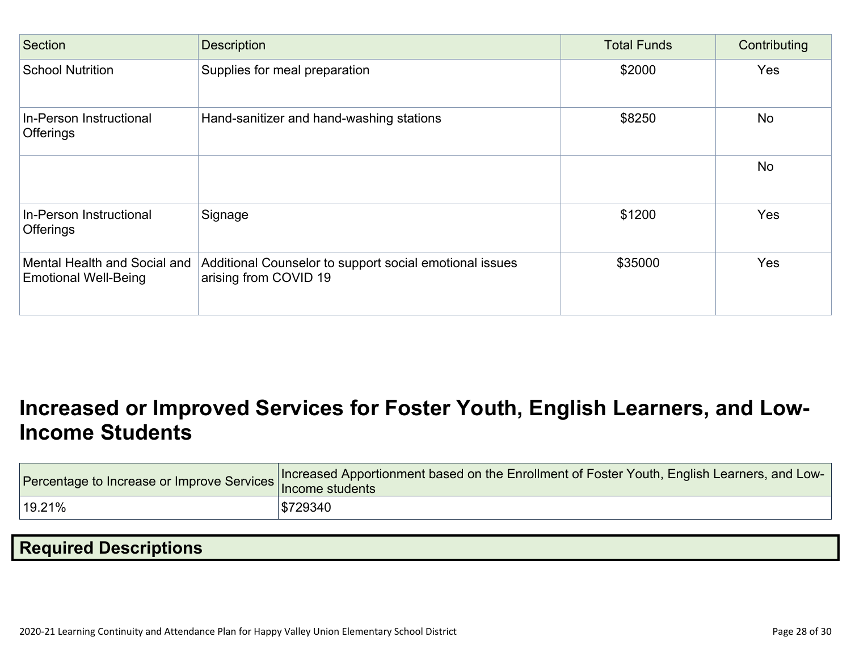| Section                                                     | <b>Description</b>                                                               | <b>Total Funds</b> | Contributing |
|-------------------------------------------------------------|----------------------------------------------------------------------------------|--------------------|--------------|
| <b>School Nutrition</b>                                     | Supplies for meal preparation                                                    | \$2000             | Yes          |
| In-Person Instructional<br><b>Offerings</b>                 | Hand-sanitizer and hand-washing stations                                         | \$8250             | <b>No</b>    |
|                                                             |                                                                                  |                    | <b>No</b>    |
| In-Person Instructional<br><b>Offerings</b>                 | Signage                                                                          | \$1200             | Yes          |
| Mental Health and Social and<br><b>Emotional Well-Being</b> | Additional Counselor to support social emotional issues<br>arising from COVID 19 | \$35000            | Yes          |

## **Increased or Improved Services for Foster Youth, English Learners, and Low-Income Students**

|                     | Percentage to Increase or Improve Services Increased Apportionment based on the Enrollment of Foster Youth, English Learners, and Low-<br>Income students |
|---------------------|-----------------------------------------------------------------------------------------------------------------------------------------------------------|
| <sup>∣</sup> 19.21% | \$729340                                                                                                                                                  |

## **Required Descriptions**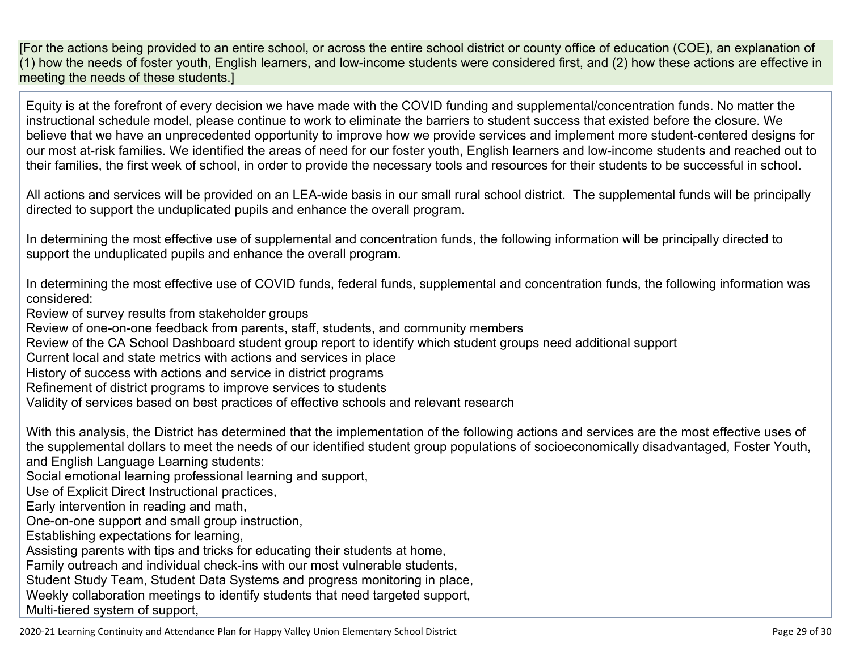[For the actions being provided to an entire school, or across the entire school district or county office of education (COE), an explanation of (1) how the needs of foster youth, English learners, and low-income students were considered first, and (2) how these actions are effective in meeting the needs of these students.]

Equity is at the forefront of every decision we have made with the COVID funding and supplemental/concentration funds. No matter the instructional schedule model, please continue to work to eliminate the barriers to student success that existed before the closure. We believe that we have an unprecedented opportunity to improve how we provide services and implement more student-centered designs for our most at-risk families. We identified the areas of need for our foster youth, English learners and low-income students and reached out to their families, the first week of school, in order to provide the necessary tools and resources for their students to be successful in school.

All actions and services will be provided on an LEA-wide basis in our small rural school district. The supplemental funds will be principally directed to support the unduplicated pupils and enhance the overall program.

In determining the most effective use of supplemental and concentration funds, the following information will be principally directed to support the unduplicated pupils and enhance the overall program.

In determining the most effective use of COVID funds, federal funds, supplemental and concentration funds, the following information was considered:

Review of survey results from stakeholder groups

Review of one-on-one feedback from parents, staff, students, and community members

Review of the CA School Dashboard student group report to identify which student groups need additional support

Current local and state metrics with actions and services in place

History of success with actions and service in district programs

Refinement of district programs to improve services to students

Validity of services based on best practices of effective schools and relevant research

With this analysis, the District has determined that the implementation of the following actions and services are the most effective uses of the supplemental dollars to meet the needs of our identified student group populations of socioeconomically disadvantaged, Foster Youth, and English Language Learning students:

Social emotional learning professional learning and support,

Use of Explicit Direct Instructional practices,

Early intervention in reading and math,

One-on-one support and small group instruction,

Establishing expectations for learning,

Assisting parents with tips and tricks for educating their students at home,

Family outreach and individual check-ins with our most vulnerable students,

Student Study Team, Student Data Systems and progress monitoring in place,

Weekly collaboration meetings to identify students that need targeted support,

Multi-tiered system of support,